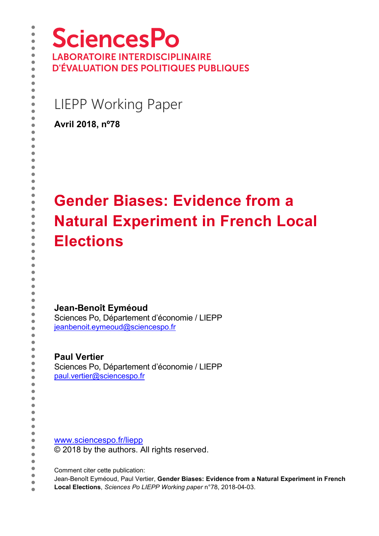**SciencesPo LABORATOIRE INTERDISCIPLINAIRE D'ÉVALUATION DES POLITIQUES PUBLIQUES** 

LIEPP Working Paper

**Avril 2018, nº78** 

# **Gender Biases: Evidence from a Natural Experiment in French Local Elections**

**Jean-Benoît Eyméoud** 

Sciences Po, Département d'économie / LIEPP [jeanbenoit.eymeoud@sciencespo.fr](mailto:jeanbenoit.eymeoud@sciencespo.fr) 

**Paul Vertier**  Sciences Po, Département d'économie / LIEPP [paul.vertier@sciencespo.fr](mailto:paul.vertier@sciencespo.fr) 

[www.sciencespo.fr/liepp](http://www.sciencespo.fr/liepp) © 2018 by the authors. All rights reserved.

Comment citer cette publication:

Jean-Benoît Eyméoud, Paul Vertier, **Gender Biases: Evidence from a Natural Experiment in French** 

**Local Elections**, *Sciences Po LIEPP Working paper* n°78, 2018-04-03.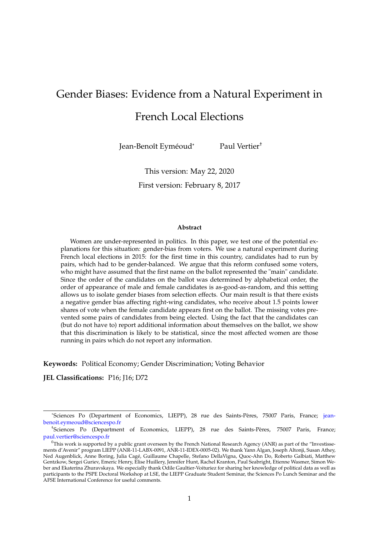# Gender Biases: Evidence from a Natural Experiment in

# French Local Elections

Jean-Benoît Eyméoud\* Paul Vertier†

This version: May 22, 2020 First version: February 8, 2017

#### **Abstract**

Women are under-represented in politics. In this paper, we test one of the potential explanations for this situation: gender-bias from voters. We use a natural experiment during French local elections in 2015: for the first time in this country, candidates had to run by pairs, which had to be gender-balanced. We argue that this reform confused some voters, who might have assumed that the first name on the ballot represented the "main" candidate. Since the order of the candidates on the ballot was determined by alphabetical order, the order of appearance of male and female candidates is as-good-as-random, and this setting allows us to isolate gender biases from selection effects. Our main result is that there exists a negative gender bias affecting right-wing candidates, who receive about 1.5 points lower shares of vote when the female candidate appears first on the ballot. The missing votes prevented some pairs of candidates from being elected. Using the fact that the candidates can (but do not have to) report additional information about themselves on the ballot, we show that this discrimination is likely to be statistical, since the most affected women are those running in pairs which do not report any information.

**Keywords:** Political Economy; Gender Discrimination; Voting Behavior

**JEL Classifications:** P16; J16; D72

<sup>\*</sup>Sciences Po (Department of Economics, LIEPP), 28 rue des Saints-Pères, 75007 Paris, France; [jean](jeanbenoit.eymeoud@sciencespo.fr)[benoit.eymeoud@sciencespo.fr](jeanbenoit.eymeoud@sciencespo.fr)

<sup>†</sup> Sciences Po (Department of Economics, LIEPP), 28 rue des Saints-Pères, 75007 Paris, France; <paul.vertier@sciencespo.fr>

 $^0$ This work is supported by a public grant overseen by the French National Research Agency (ANR) as part of the "Investissements d'Avenir" program LIEPP (ANR-11-LABX-0091, ANR-11-IDEX-0005-02). We thank Yann Algan, Joseph Altonji, Susan Athey, Ned Augenblick, Anne Boring, Julia Cagé, Guillaume Chapelle, Stefano DellaVigna, Quoc-Ahn Do, Roberto Galbiati, Matthew Gentzkow, Sergei Guriev, Emeric Henry, Elise Huillery, Jennifer Hunt, Rachel Kranton, Paul Seabright, Etienne Wasmer, Simon Weber and Ekaterina Zhuravskaya. We especially thank Odile Gaultier-Voituriez for sharing her knowledge of political data as well as participants to the PSPE Doctoral Workshop at LSE, the LIEPP Graduate Student Seminar, the Sciences Po Lunch Seminar and the AFSE International Conference for useful comments.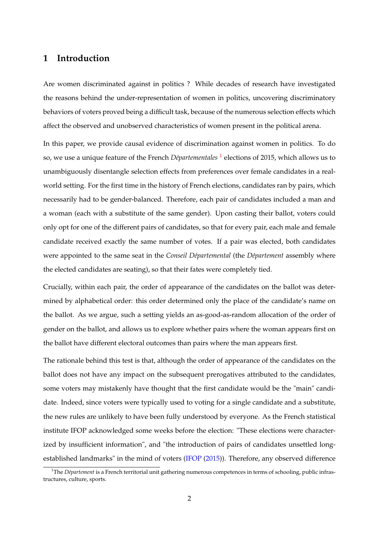## **1 Introduction**

Are women discriminated against in politics ? While decades of research have investigated the reasons behind the under-representation of women in politics, uncovering discriminatory behaviors of voters proved being a difficult task, because of the numerous selection effects which affect the observed and unobserved characteristics of women present in the political arena.

In this paper, we provide causal evidence of discrimination against women in politics. To do so, we use a unique feature of the French *Départementales* [1](#page-2-0) elections of 2015, which allows us to unambiguously disentangle selection effects from preferences over female candidates in a realworld setting. For the first time in the history of French elections, candidates ran by pairs, which necessarily had to be gender-balanced. Therefore, each pair of candidates included a man and a woman (each with a substitute of the same gender). Upon casting their ballot, voters could only opt for one of the different pairs of candidates, so that for every pair, each male and female candidate received exactly the same number of votes. If a pair was elected, both candidates were appointed to the same seat in the *Conseil Départemental* (the *Département* assembly where the elected candidates are seating), so that their fates were completely tied.

Crucially, within each pair, the order of appearance of the candidates on the ballot was determined by alphabetical order: this order determined only the place of the candidate's name on the ballot. As we argue, such a setting yields an as-good-as-random allocation of the order of gender on the ballot, and allows us to explore whether pairs where the woman appears first on the ballot have different electoral outcomes than pairs where the man appears first.

The rationale behind this test is that, although the order of appearance of the candidates on the ballot does not have any impact on the subsequent prerogatives attributed to the candidates, some voters may mistakenly have thought that the first candidate would be the "main" candidate. Indeed, since voters were typically used to voting for a single candidate and a substitute, the new rules are unlikely to have been fully understood by everyone. As the French statistical institute IFOP acknowledged some weeks before the election: "These elections were characterized by insufficient information", and "the introduction of pairs of candidates unsettled longestablished landmarks" in the mind of voters [\(IFOP](#page-44-0) [\(2015\)](#page-44-0)). Therefore, any observed difference

<span id="page-2-0"></span><sup>&</sup>lt;sup>1</sup>The *Département* is a French territorial unit gathering numerous competences in terms of schooling, public infrastructures, culture, sports.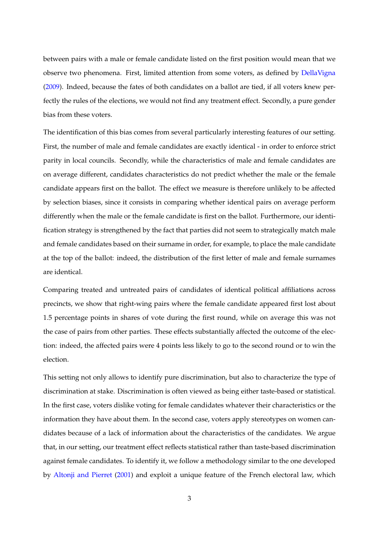between pairs with a male or female candidate listed on the first position would mean that we observe two phenomena. First, limited attention from some voters, as defined by [DellaVigna](#page-43-0) [\(2009\)](#page-43-0). Indeed, because the fates of both candidates on a ballot are tied, if all voters knew perfectly the rules of the elections, we would not find any treatment effect. Secondly, a pure gender bias from these voters.

The identification of this bias comes from several particularly interesting features of our setting. First, the number of male and female candidates are exactly identical - in order to enforce strict parity in local councils. Secondly, while the characteristics of male and female candidates are on average different, candidates characteristics do not predict whether the male or the female candidate appears first on the ballot. The effect we measure is therefore unlikely to be affected by selection biases, since it consists in comparing whether identical pairs on average perform differently when the male or the female candidate is first on the ballot. Furthermore, our identification strategy is strengthened by the fact that parties did not seem to strategically match male and female candidates based on their surname in order, for example, to place the male candidate at the top of the ballot: indeed, the distribution of the first letter of male and female surnames are identical.

Comparing treated and untreated pairs of candidates of identical political affiliations across precincts, we show that right-wing pairs where the female candidate appeared first lost about 1.5 percentage points in shares of vote during the first round, while on average this was not the case of pairs from other parties. These effects substantially affected the outcome of the election: indeed, the affected pairs were 4 points less likely to go to the second round or to win the election.

This setting not only allows to identify pure discrimination, but also to characterize the type of discrimination at stake. Discrimination is often viewed as being either taste-based or statistical. In the first case, voters dislike voting for female candidates whatever their characteristics or the information they have about them. In the second case, voters apply stereotypes on women candidates because of a lack of information about the characteristics of the candidates. We argue that, in our setting, our treatment effect reflects statistical rather than taste-based discrimination against female candidates. To identify it, we follow a methodology similar to the one developed by [Altonji and Pierret](#page-41-0) [\(2001\)](#page-41-0) and exploit a unique feature of the French electoral law, which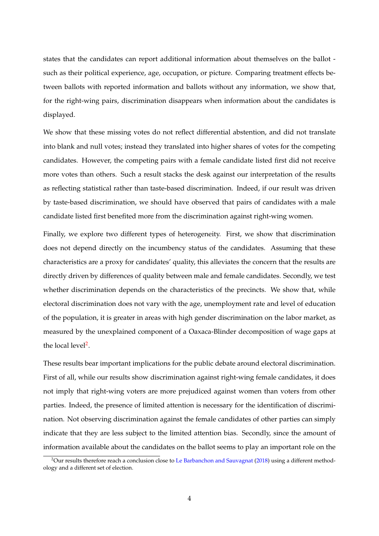states that the candidates can report additional information about themselves on the ballot such as their political experience, age, occupation, or picture. Comparing treatment effects between ballots with reported information and ballots without any information, we show that, for the right-wing pairs, discrimination disappears when information about the candidates is displayed.

We show that these missing votes do not reflect differential abstention, and did not translate into blank and null votes; instead they translated into higher shares of votes for the competing candidates. However, the competing pairs with a female candidate listed first did not receive more votes than others. Such a result stacks the desk against our interpretation of the results as reflecting statistical rather than taste-based discrimination. Indeed, if our result was driven by taste-based discrimination, we should have observed that pairs of candidates with a male candidate listed first benefited more from the discrimination against right-wing women.

Finally, we explore two different types of heterogeneity. First, we show that discrimination does not depend directly on the incumbency status of the candidates. Assuming that these characteristics are a proxy for candidates' quality, this alleviates the concern that the results are directly driven by differences of quality between male and female candidates. Secondly, we test whether discrimination depends on the characteristics of the precincts. We show that, while electoral discrimination does not vary with the age, unemployment rate and level of education of the population, it is greater in areas with high gender discrimination on the labor market, as measured by the unexplained component of a Oaxaca-Blinder decomposition of wage gaps at the local level<sup>[2](#page-4-0)</sup>.

These results bear important implications for the public debate around electoral discrimination. First of all, while our results show discrimination against right-wing female candidates, it does not imply that right-wing voters are more prejudiced against women than voters from other parties. Indeed, the presence of limited attention is necessary for the identification of discrimination. Not observing discrimination against the female candidates of other parties can simply indicate that they are less subject to the limited attention bias. Secondly, since the amount of information available about the candidates on the ballot seems to play an important role on the

<span id="page-4-0"></span><sup>&</sup>lt;sup>2</sup>Our results therefore reach a conclusion close to [Le Barbanchon and Sauvagnat](#page-44-1) [\(2018\)](#page-44-1) using a different methodology and a different set of election.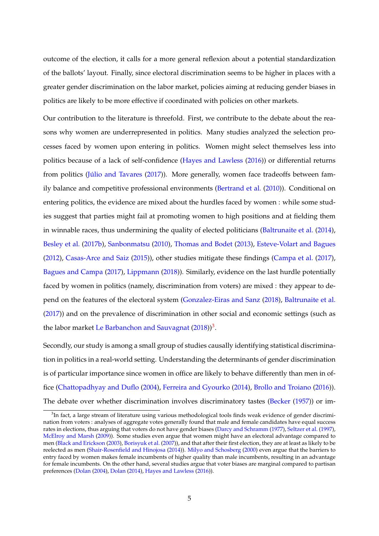outcome of the election, it calls for a more general reflexion about a potential standardization of the ballots' layout. Finally, since electoral discrimination seems to be higher in places with a greater gender discrimination on the labor market, policies aiming at reducing gender biases in politics are likely to be more effective if coordinated with policies on other markets.

Our contribution to the literature is threefold. First, we contribute to the debate about the reasons why women are underrepresented in politics. Many studies analyzed the selection processes faced by women upon entering in politics. Women might select themselves less into politics because of a lack of self-confidence [\(Hayes and Lawless](#page-44-2) [\(2016\)](#page-44-2)) or differential returns from politics [\(Júlio and Tavares](#page-44-3) [\(2017\)](#page-44-3)). More generally, women face tradeoffs between family balance and competitive professional environments [\(Bertrand et al.](#page-42-0) [\(2010\)](#page-42-0)). Conditional on entering politics, the evidence are mixed about the hurdles faced by women : while some studies suggest that parties might fail at promoting women to high positions and at fielding them in winnable races, thus undermining the quality of elected politicians [\(Baltrunaite et al.](#page-41-1) [\(2014\)](#page-41-1), [Besley et al.](#page-42-1) [\(2017b\)](#page-42-1), [Sanbonmatsu](#page-45-0) [\(2010\)](#page-45-0), [Thomas and Bodet](#page-46-0) [\(2013\)](#page-46-0), [Esteve-Volart and Bagues](#page-43-1) [\(2012\)](#page-43-1), [Casas-Arce and Saiz](#page-43-2) [\(2015\)](#page-43-2)), other studies mitigate these findings [\(Campa et al.](#page-42-2) [\(2017\)](#page-42-2), [Bagues and Campa](#page-41-2) [\(2017\)](#page-41-2), [Lippmann](#page-45-1) [\(2018\)](#page-45-1)). Similarly, evidence on the last hurdle potentially faced by women in politics (namely, discrimination from voters) are mixed : they appear to depend on the features of the electoral system [\(Gonzalez-Eiras and Sanz](#page-44-4) [\(2018\)](#page-44-4), [Baltrunaite et al.](#page-41-3) [\(2017\)](#page-41-3)) and on the prevalence of discrimination in other social and economic settings (such as the labor market [Le Barbanchon and Sauvagnat](#page-44-1) [\(2018\)](#page-44-1)) $^3$  $^3$ .

Secondly, our study is among a small group of studies causally identifying statistical discrimination in politics in a real-world setting. Understanding the determinants of gender discrimination is of particular importance since women in office are likely to behave differently than men in office [\(Chattopadhyay and Duflo](#page-43-3) [\(2004\)](#page-43-3), [Ferreira and Gyourko](#page-43-4) [\(2014\)](#page-43-4), [Brollo and Troiano](#page-42-3) [\(2016\)](#page-42-3)). The debate over whether discrimination involves discriminatory tastes [\(Becker](#page-41-4) [\(1957\)](#page-41-4)) or im-

<span id="page-5-0"></span> ${}^{3}$ In fact, a large stream of literature using various methodological tools finds weak evidence of gender discrimination from voters : analyses of aggregate votes generally found that male and female candidates have equal success rates in elections, thus arguing that voters do not have gender biases [\(Darcy and Schramm](#page-43-5) [\(1977\)](#page-43-5), [Seltzer et al.](#page-45-2) [\(1997\)](#page-45-2), [McElroy and Marsh](#page-45-3) [\(2009\)](#page-45-3)). Some studies even argue that women might have an electoral advantage compared to men [\(Black and Erickson](#page-42-4) [\(2003\)](#page-42-4), [Borisyuk et al.](#page-42-5) [\(2007\)](#page-42-5)), and that after their first election, they are at least as likely to be reelected as men [\(Shair-Rosenfield and Hinojosa](#page-45-4) [\(2014\)](#page-45-4)). [Milyo and Schosberg](#page-45-5) [\(2000\)](#page-45-5) even argue that the barriers to entry faced by women makes female incumbents of higher quality than male incumbents, resulting in an advantage for female incumbents. On the other hand, several studies argue that voter biases are marginal compared to partisan preferences [\(Dolan](#page-43-6) [\(2004\)](#page-43-6), [Dolan](#page-43-7) [\(2014\)](#page-43-7), [Hayes and Lawless](#page-44-2) [\(2016\)](#page-44-2)).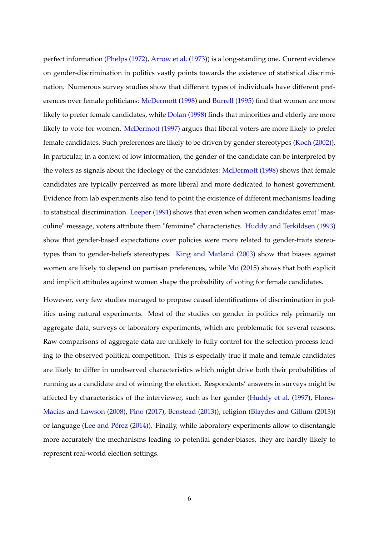perfect information [\(Phelps](#page-45-6) [\(1972\)](#page-45-6), [Arrow et al.](#page-41-5) [\(1973\)](#page-41-5)) is a long-standing one. Current evidence on gender-discrimination in politics vastly points towards the existence of statistical discrimination. Numerous survey studies show that different types of individuals have different pref-erences over female politicians: [McDermott](#page-45-7) [\(1998\)](#page-45-7) and [Burrell](#page-42-6) [\(1995\)](#page-42-6) find that women are more likely to prefer female candidates, while [Dolan](#page-43-8) [\(1998\)](#page-43-8) finds that minorities and elderly are more likely to vote for women. [McDermott](#page-45-8) [\(1997\)](#page-45-8) argues that liberal voters are more likely to prefer female candidates. Such preferences are likely to be driven by gender stereotypes [\(Koch](#page-44-5) [\(2002\)](#page-44-5)). In particular, in a context of low information, the gender of the candidate can be interpreted by the voters as signals about the ideology of the candidates: [McDermott](#page-45-7) [\(1998\)](#page-45-7) shows that female candidates are typically perceived as more liberal and more dedicated to honest government. Evidence from lab experiments also tend to point the existence of different mechanisms leading to statistical discrimination. [Leeper](#page-45-9) [\(1991\)](#page-45-9) shows that even when women candidates emit "masculine" message, voters attribute them "feminine" characteristics. [Huddy and Terkildsen](#page-44-6) [\(1993\)](#page-44-6) show that gender-based expectations over policies were more related to gender-traits stereotypes than to gender-beliefs stereotypes. [King and Matland](#page-44-7) [\(2003\)](#page-44-7) show that biases against women are likely to depend on partisan preferences, while [Mo](#page-45-10) [\(2015\)](#page-45-10) shows that both explicit and implicit attitudes against women shape the probability of voting for female candidates.

However, very few studies managed to propose causal identifications of discrimination in politics using natural experiments. Most of the studies on gender in politics rely primarily on aggregate data, surveys or laboratory experiments, which are problematic for several reasons. Raw comparisons of aggregate data are unlikely to fully control for the selection process leading to the observed political competition. This is especially true if male and female candidates are likely to differ in unobserved characteristics which might drive both their probabilities of running as a candidate and of winning the election. Respondents' answers in surveys might be affected by characteristics of the interviewer, such as her gender [\(Huddy et al.](#page-44-8) [\(1997\)](#page-44-8), [Flores-](#page-44-9)[Macias and Lawson](#page-44-9) [\(2008\)](#page-44-9), [Pino](#page-45-11) [\(2017\)](#page-45-11), [Benstead](#page-41-6) [\(2013\)](#page-41-6)), religion [\(Blaydes and Gillum](#page-42-7) [\(2013\)](#page-42-7)) or language [\(Lee and Pérez](#page-45-12) [\(2014\)](#page-45-12)). Finally, while laboratory experiments allow to disentangle more accurately the mechanisms leading to potential gender-biases, they are hardly likely to represent real-world election settings.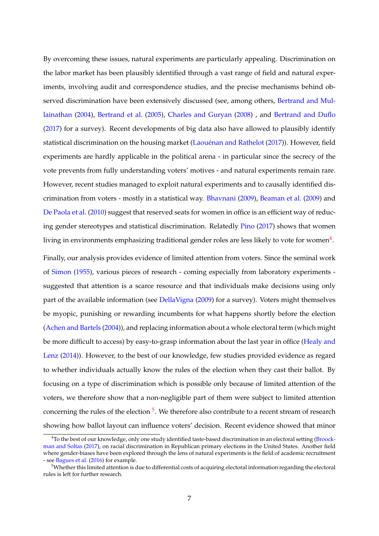By overcoming these issues, natural experiments are particularly appealing. Discrimination on the labor market has been plausibly identified through a vast range of field and natural experiments, involving audit and correspondence studies, and the precise mechanisms behind observed discrimination have been extensively discussed (see, among others, [Bertrand and Mul](#page-42-8)[lainathan](#page-42-8) [\(2004\)](#page-42-8), [Bertrand et al.](#page-41-7) [\(2005\)](#page-41-7), [Charles and Guryan](#page-43-9) [\(2008\)](#page-43-9) , and [Bertrand and Duflo](#page-42-9) [\(2017\)](#page-42-9) for a survey). Recent developments of big data also have allowed to plausibly identify statistical discrimination on the housing market [\(Laouénan and Rathelot](#page-44-10) [\(2017\)](#page-44-10)). However, field experiments are hardly applicable in the political arena - in particular since the secrecy of the vote prevents from fully understanding voters' motives - and natural experiments remain rare. However, recent studies managed to exploit natural experiments and to causally identified discrimination from voters - mostly in a statistical way. [Bhavnani](#page-42-10) [\(2009\)](#page-42-10), [Beaman et al.](#page-41-8) [\(2009\)](#page-41-8) and [De Paola et al.](#page-43-10) [\(2010\)](#page-43-10) suggest that reserved seats for women in office is an efficient way of reducing gender stereotypes and statistical discrimination. Relatedly [Pino](#page-45-11) [\(2017\)](#page-45-11) shows that women living in environments emphasizing traditional gender roles are less likely to vote for women $^4$  $^4$ .

Finally, our analysis provides evidence of limited attention from voters. Since the seminal work of [Simon](#page-45-13) [\(1955\)](#page-45-13), various pieces of research - coming especially from laboratory experiments suggested that attention is a scarce resource and that individuals make decisions using only part of the available information (see [DellaVigna](#page-43-0) [\(2009\)](#page-43-0) for a survey). Voters might themselves be myopic, punishing or rewarding incumbents for what happens shortly before the election [\(Achen and Bartels](#page-41-9) [\(2004\)](#page-41-9)), and replacing information about a whole electoral term (which might be more difficult to access) by easy-to-grasp information about the last year in office [\(Healy and](#page-44-11) [Lenz](#page-44-11) [\(2014\)](#page-44-11)). However, to the best of our knowledge, few studies provided evidence as regard to whether individuals actually know the rules of the election when they cast their ballot. By focusing on a type of discrimination which is possible only because of limited attention of the voters, we therefore show that a non-negligible part of them were subject to limited attention concerning the rules of the election <sup>[5](#page-7-1)</sup>. We therefore also contribute to a recent stream of research showing how ballot layout can influence voters' decision. Recent evidence showed that minor

<span id="page-7-0"></span><sup>&</sup>lt;sup>4</sup>To the best of our knowledge, only one study identified taste-based discrimination in an electoral setting [\(Broock](#page-42-11)[man and Soltas](#page-42-11) [\(2017\)](#page-42-11), on racial discrimination in Republican primary elections in the United States. Another field where gender-biases have been explored through the lens of natural experiments is the field of academic recruitment - see [Bagues et al.](#page-41-10) [\(2016\)](#page-41-10) for example.

<span id="page-7-1"></span> $5$ Whether this limited attention is due to differential costs of acquiring electoral information regarding the electoral rules is left for further research.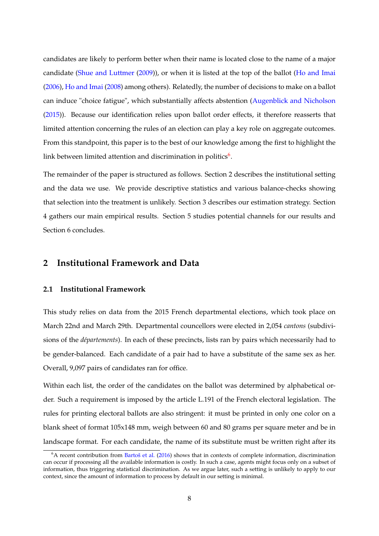candidates are likely to perform better when their name is located close to the name of a major candidate [\(Shue and Luttmer](#page-45-14) [\(2009\)](#page-45-14)), or when it is listed at the top of the ballot [\(Ho and Imai](#page-44-12) [\(2006\)](#page-44-12), [Ho and Imai](#page-44-13) [\(2008\)](#page-44-13) among others). Relatedly, the number of decisions to make on a ballot can induce "choice fatigue", which substantially affects abstention [\(Augenblick and Nicholson](#page-41-11) [\(2015\)](#page-41-11)). Because our identification relies upon ballot order effects, it therefore reasserts that limited attention concerning the rules of an election can play a key role on aggregate outcomes. From this standpoint, this paper is to the best of our knowledge among the first to highlight the link between limited attention and discrimination in politics $^6$  $^6$ .

The remainder of the paper is structured as follows. Section 2 describes the institutional setting and the data we use. We provide descriptive statistics and various balance-checks showing that selection into the treatment is unlikely. Section 3 describes our estimation strategy. Section 4 gathers our main empirical results. Section 5 studies potential channels for our results and Section 6 concludes.

## **2 Institutional Framework and Data**

## **2.1 Institutional Framework**

This study relies on data from the 2015 French departmental elections, which took place on March 22nd and March 29th. Departmental councellors were elected in 2,054 *cantons* (subdivisions of the *départements*). In each of these precincts, lists ran by pairs which necessarily had to be gender-balanced. Each candidate of a pair had to have a substitute of the same sex as her. Overall, 9,097 pairs of candidates ran for office.

Within each list, the order of the candidates on the ballot was determined by alphabetical order. Such a requirement is imposed by the article L.191 of the French electoral legislation. The rules for printing electoral ballots are also stringent: it must be printed in only one color on a blank sheet of format 105x148 mm, weigh between 60 and 80 grams per square meter and be in landscape format. For each candidate, the name of its substitute must be written right after its

<span id="page-8-0"></span><sup>6</sup>A recent contribution from [Bartoš et al.](#page-41-12) [\(2016\)](#page-41-12) shows that in contexts of complete information, discrimination can occur if processing all the available information is costly. In such a case, agents might focus only on a subset of information, thus triggering statistical discrimination. As we argue later, such a setting is unlikely to apply to our context, since the amount of information to process by default in our setting is minimal.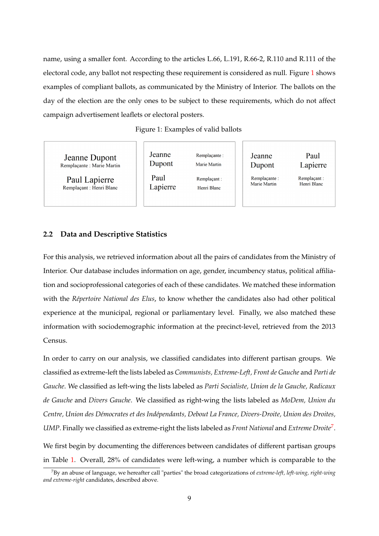name, using a smaller font. According to the articles L.66, L.191, R.66-2, R.110 and R.111 of the electoral code, any ballot not respecting these requirement is considered as null. Figure [1](#page-9-0) shows examples of compliant ballots, as communicated by the Ministry of Interior. The ballots on the day of the election are the only ones to be subject to these requirements, which do not affect campaign advertisement leaflets or electoral posters.

Figure 1: Examples of valid ballots

<span id="page-9-0"></span>**Jeanne Dupont** Remplaçante : Marie Martin

Paul Lapierre Remplaçant : Henri Blanc

| Jeanne<br>Dupont |
|------------------|
| Paul<br>Lapierre |

Remplacante: Marie Martin Remplaçant : Henri Blanc

Jeanne Dupont

> Remplaçante : Marie Martin

Remplaçant: Henri Blanc

Paul

Lapierre

## **2.2 Data and Descriptive Statistics**

For this analysis, we retrieved information about all the pairs of candidates from the Ministry of Interior. Our database includes information on age, gender, incumbency status, political affiliation and socioprofessional categories of each of these candidates. We matched these information with the *Répertoire National des Elus*, to know whether the candidates also had other political experience at the municipal, regional or parliamentary level. Finally, we also matched these information with sociodemographic information at the precinct-level, retrieved from the 2013 Census.

In order to carry on our analysis, we classified candidates into different partisan groups. We classified as extreme-left the lists labeled as *Communists, Extreme-Left, Front de Gauche* and *Parti de Gauche*. We classified as left-wing the lists labeled as *Parti Socialiste, Union de la Gauche, Radicaux de Gauche* and *Divers Gauche*. We classified as right-wing the lists labeled as *MoDem, Union du Centre, Union des Démocrates et des Indépendants, Debout La France, Divers-Droite, Union des Droites, UMP*. Finally we classified as extreme-right the lists labeled as *Front National* and *Extreme Droite*[7](#page-9-1) . We first begin by documenting the differences between candidates of different partisan groups

in Table [1.](#page-11-0) Overall, 28% of candidates were left-wing, a number which is comparable to the

<span id="page-9-1"></span><sup>7</sup>By an abuse of language, we hereafter call "parties" the broad categorizations of *extreme-left, left-wing, right-wing and extreme-right* candidates, described above.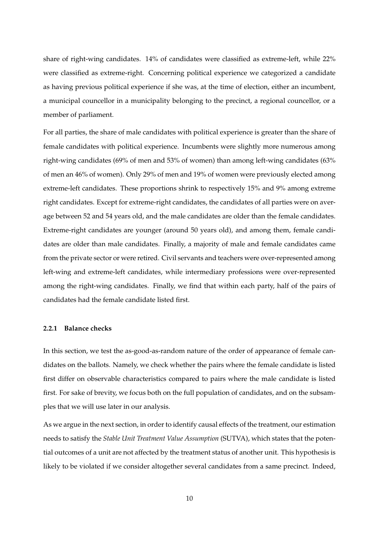share of right-wing candidates. 14% of candidates were classified as extreme-left, while 22% were classified as extreme-right. Concerning political experience we categorized a candidate as having previous political experience if she was, at the time of election, either an incumbent, a municipal councellor in a municipality belonging to the precinct, a regional councellor, or a member of parliament.

For all parties, the share of male candidates with political experience is greater than the share of female candidates with political experience. Incumbents were slightly more numerous among right-wing candidates (69% of men and 53% of women) than among left-wing candidates (63% of men an 46% of women). Only 29% of men and 19% of women were previously elected among extreme-left candidates. These proportions shrink to respectively 15% and 9% among extreme right candidates. Except for extreme-right candidates, the candidates of all parties were on average between 52 and 54 years old, and the male candidates are older than the female candidates. Extreme-right candidates are younger (around 50 years old), and among them, female candidates are older than male candidates. Finally, a majority of male and female candidates came from the private sector or were retired. Civil servants and teachers were over-represented among left-wing and extreme-left candidates, while intermediary professions were over-represented among the right-wing candidates. Finally, we find that within each party, half of the pairs of candidates had the female candidate listed first.

#### **2.2.1 Balance checks**

In this section, we test the as-good-as-random nature of the order of appearance of female candidates on the ballots. Namely, we check whether the pairs where the female candidate is listed first differ on observable characteristics compared to pairs where the male candidate is listed first. For sake of brevity, we focus both on the full population of candidates, and on the subsamples that we will use later in our analysis.

As we argue in the next section, in order to identify causal effects of the treatment, our estimation needs to satisfy the *Stable Unit Treatment Value Assumption* (SUTVA), which states that the potential outcomes of a unit are not affected by the treatment status of another unit. This hypothesis is likely to be violated if we consider altogether several candidates from a same precinct. Indeed,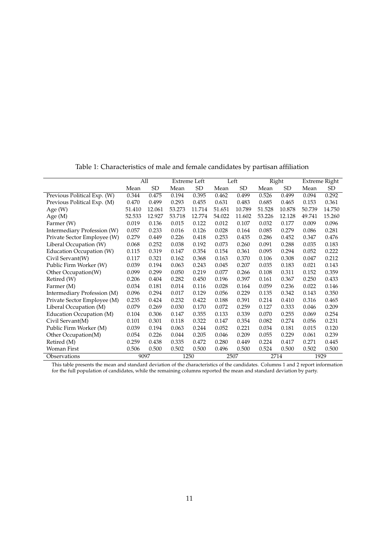<span id="page-11-0"></span>

|                             |        | All    |        | <b>Extreme Left</b> |        | Left   |        | Right     |        | Extreme Right |
|-----------------------------|--------|--------|--------|---------------------|--------|--------|--------|-----------|--------|---------------|
|                             | Mean   | SD     | Mean   | SD                  | Mean   | SD     | Mean   | <b>SD</b> | Mean   | SD            |
| Previous Political Exp. (W) | 0.344  | 0.475  | 0.194  | 0.395               | 0.462  | 0.499  | 0.526  | 0.499     | 0.094  | 0.292         |
| Previous Political Exp. (M) | 0.470  | 0.499  | 0.293  | 0.455               | 0.631  | 0.483  | 0.685  | 0.465     | 0.153  | 0.361         |
| Age $(W)$                   | 51.410 | 12.061 | 53.273 | 11.714              | 51.651 | 10.789 | 51.528 | 10.878    | 50.739 | 14.750        |
| Age $(M)$                   | 52.533 | 12.927 | 53.718 | 12.774              | 54.022 | 11.602 | 53.226 | 12.128    | 49.741 | 15.260        |
| Farmer (W)                  | 0.019  | 0.136  | 0.015  | 0.122               | 0.012  | 0.107  | 0.032  | 0.177     | 0.009  | 0.096         |
| Intermediary Profession (W) | 0.057  | 0.233  | 0.016  | 0.126               | 0.028  | 0.164  | 0.085  | 0.279     | 0.086  | 0.281         |
| Private Sector Employee (W) | 0.279  | 0.449  | 0.226  | 0.418               | 0.253  | 0.435  | 0.286  | 0.452     | 0.347  | 0.476         |
| Liberal Occupation (W)      | 0.068  | 0.252  | 0.038  | 0.192               | 0.073  | 0.260  | 0.091  | 0.288     | 0.035  | 0.183         |
| Education Occupation (W)    | 0.115  | 0.319  | 0.147  | 0.354               | 0.154  | 0.361  | 0.095  | 0.294     | 0.052  | 0.222         |
| Civil Servant(W)            | 0.117  | 0.321  | 0.162  | 0.368               | 0.163  | 0.370  | 0.106  | 0.308     | 0.047  | 0.212         |
| Public Firm Worker (W)      | 0.039  | 0.194  | 0.063  | 0.243               | 0.045  | 0.207  | 0.035  | 0.183     | 0.021  | 0.143         |
| Other Occupation(W)         | 0.099  | 0.299  | 0.050  | 0.219               | 0.077  | 0.266  | 0.108  | 0.311     | 0.152  | 0.359         |
| Retired (W)                 | 0.206  | 0.404  | 0.282  | 0.450               | 0.196  | 0.397  | 0.161  | 0.367     | 0.250  | 0.433         |
| Farmer (M)                  | 0.034  | 0.181  | 0.014  | 0.116               | 0.028  | 0.164  | 0.059  | 0.236     | 0.022  | 0.146         |
| Intermediary Profession (M) | 0.096  | 0.294  | 0.017  | 0.129               | 0.056  | 0.229  | 0.135  | 0.342     | 0.143  | 0.350         |
| Private Sector Employee (M) | 0.235  | 0.424  | 0.232  | 0.422               | 0.188  | 0.391  | 0.214  | 0.410     | 0.316  | 0.465         |
| Liberal Occupation (M)      | 0.079  | 0.269  | 0.030  | 0.170               | 0.072  | 0.259  | 0.127  | 0.333     | 0.046  | 0.209         |
| Education Occupation (M)    | 0.104  | 0.306  | 0.147  | 0.355               | 0.133  | 0.339  | 0.070  | 0.255     | 0.069  | 0.254         |
| Civil Servant(M)            | 0.101  | 0.301  | 0.118  | 0.322               | 0.147  | 0.354  | 0.082  | 0.274     | 0.056  | 0.231         |
| Public Firm Worker (M)      | 0.039  | 0.194  | 0.063  | 0.244               | 0.052  | 0.221  | 0.034  | 0.181     | 0.015  | 0.120         |
| Other Occupation(M)         | 0.054  | 0.226  | 0.044  | 0.205               | 0.046  | 0.209  | 0.055  | 0.229     | 0.061  | 0.239         |
| Retired (M)                 | 0.259  | 0.438  | 0.335  | 0.472               | 0.280  | 0.449  | 0.224  | 0.417     | 0.271  | 0.445         |
| Woman First                 | 0.506  | 0.500  | 0.502  | 0.500               | 0.496  | 0.500  | 0.524  | 0.500     | 0.502  | 0.500         |
| Observations                |        | 9097   |        | 1250                |        | 2507   |        | 2714      |        | 1929          |

Table 1: Characteristics of male and female candidates by partisan affiliation

This table presents the mean and standard deviation of the characteristics of the candidates. Columns 1 and 2 report information for the full population of candidates, while the remaining columns reported the mean and standard deviation by party.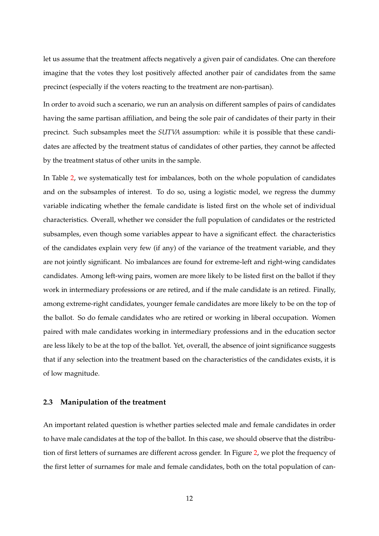let us assume that the treatment affects negatively a given pair of candidates. One can therefore imagine that the votes they lost positively affected another pair of candidates from the same precinct (especially if the voters reacting to the treatment are non-partisan).

In order to avoid such a scenario, we run an analysis on different samples of pairs of candidates having the same partisan affiliation, and being the sole pair of candidates of their party in their precinct. Such subsamples meet the *SUTVA* assumption: while it is possible that these candidates are affected by the treatment status of candidates of other parties, they cannot be affected by the treatment status of other units in the sample.

In Table [2,](#page-13-0) we systematically test for imbalances, both on the whole population of candidates and on the subsamples of interest. To do so, using a logistic model, we regress the dummy variable indicating whether the female candidate is listed first on the whole set of individual characteristics. Overall, whether we consider the full population of candidates or the restricted subsamples, even though some variables appear to have a significant effect. the characteristics of the candidates explain very few (if any) of the variance of the treatment variable, and they are not jointly significant. No imbalances are found for extreme-left and right-wing candidates candidates. Among left-wing pairs, women are more likely to be listed first on the ballot if they work in intermediary professions or are retired, and if the male candidate is an retired. Finally, among extreme-right candidates, younger female candidates are more likely to be on the top of the ballot. So do female candidates who are retired or working in liberal occupation. Women paired with male candidates working in intermediary professions and in the education sector are less likely to be at the top of the ballot. Yet, overall, the absence of joint significance suggests that if any selection into the treatment based on the characteristics of the candidates exists, it is of low magnitude.

#### **2.3 Manipulation of the treatment**

An important related question is whether parties selected male and female candidates in order to have male candidates at the top of the ballot. In this case, we should observe that the distribution of first letters of surnames are different across gender. In Figure [2,](#page-15-0) we plot the frequency of the first letter of surnames for male and female candidates, both on the total population of can-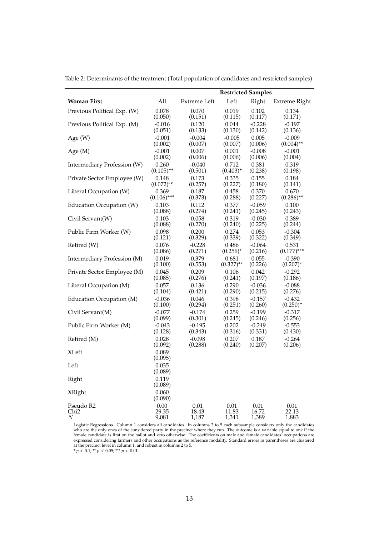|                                      |                       |                     | <b>Restricted Samples</b> |                     |                         |
|--------------------------------------|-----------------------|---------------------|---------------------------|---------------------|-------------------------|
| <b>Woman First</b>                   | All                   | Extreme Left        | Left                      | Right               | <b>Extreme Right</b>    |
| Previous Political Exp. (W)          | 0.078                 | 0.070               | 0.019                     | 0.102               | 0.134                   |
|                                      | (0.050)               | (0.151)             | (0.115)                   | (0.117)             | (0.171)                 |
| Previous Political Exp. (M)          | $-0.016$<br>(0.051)   | 0.120<br>(0.133)    | 0.044<br>(0.130)          | $-0.228$<br>(0.142) | $-0.197$<br>(0.136)     |
| Age $(W)$                            | $-0.001$              | $-0.004$            | $-0.005$                  | 0.005               | $-0.009$                |
|                                      | (0.002)               | (0.007)             | (0.007)                   | (0.006)             | $(0.004)$ **            |
| Age $(M)$                            | $-0.001$              | 0.007               | 0.001                     | $-0.008$            | $-0.001$                |
|                                      | (0.002)               | (0.006)             | (0.006)                   | (0.006)             | (0.004)                 |
| Intermediary Profession (W)          | 0.260<br>$(0.105)$ ** | $-0.040$<br>(0.501) | 0.712<br>$(0.403)^*$      | 0.381<br>(0.238)    | 0.319<br>(0.198)        |
| Private Sector Employee (W)          | 0.148                 | 0.173               | 0.335                     | 0.155               | 0.184                   |
|                                      | $(0.072)$ **          | (0.257)             | (0.227)                   | (0.180)             | (0.141)                 |
| Liberal Occupation (W)               | 0.369                 | 0.187               | 0.458                     | 0.370               | 0.670                   |
|                                      | $(0.106)$ ***         | (0.373)             | (0.288)                   | (0.227)             | $(0.286)$ **            |
| Education Occupation (W)             | 0.103<br>(0.088)      | 0.112<br>(0.274)    | 0.377<br>(0.241)          | $-0.059$<br>(0.245) | 0.100<br>(0.243)        |
| Civil Servant(W)                     | 0.103                 | 0.058               | 0.319                     | $-0.030$            | 0.389                   |
|                                      | (0.088)               | (0.270)             | (0.240)                   | (0.225)             | (0.244)                 |
| Public Firm Worker (W)               | 0.098                 | 0.200               | 0.274                     | 0.053               | $-0.304$                |
| Retired (W)                          | (0.121)<br>0.076      | (0.329)<br>$-0.228$ | (0.339)<br>0.486          | (0.322)<br>$-0.064$ | (0.349)<br>0.531        |
|                                      | (0.086)               | (0.271)             | $(0.256)^*$               | (0.216)             | $(0.177)$ ***           |
| Intermediary Profession (M)          | 0.019<br>(0.100)      | 0.379<br>(0.553)    | 0.681<br>$(0.327)$ **     | 0.055<br>(0.226)    | $-0.390$<br>$(0.207)^*$ |
| Private Sector Employee (M)          | 0.045                 | 0.209               | 0.106                     | 0.042               | $-0.292$                |
|                                      | (0.085)               | (0.276)             | (0.241)                   | (0.197)             | (0.186)                 |
| Liberal Occupation (M)               | 0.057<br>(0.104)      | 0.136<br>(0.421)    | 0.290<br>(0.290)          | $-0.036$<br>(0.215) | $-0.088$<br>(0.276)     |
| Education Occupation (M)             | $-0.036$              | 0.046               | 0.398                     | $-0.157$            | $-0.432$                |
|                                      | (0.100)               | (0.294)             | (0.251)                   | (0.260)             | $(0.250)^{*}$           |
| Civil Servant(M)                     | $-0.077$              | $-0.174$            | 0.259                     | $-0.199$            | $-0.317$                |
|                                      | (0.099)               | (0.301)             | (0.245)                   | (0.246)             | (0.256)                 |
| Public Firm Worker (M)               | $-0.043$<br>(0.128)   | $-0.195$<br>(0.343) | 0.202<br>(0.316)          | $-0.249$<br>(0.331) | $-0.553$<br>(0.430)     |
| Retired (M)                          | 0.028                 | $-0.098$            | 0.207                     | 0.187               | $-0.264$                |
|                                      | (0.092)               | (0.288)             | (0.240)                   | (0.207)             | (0.206)                 |
| <b>XLeft</b>                         | 0.089<br>(0.095)      |                     |                           |                     |                         |
| Left                                 | 0.035<br>(0.089)      |                     |                           |                     |                         |
| Right                                | 0.119                 |                     |                           |                     |                         |
|                                      | (0.089)               |                     |                           |                     |                         |
| <b>XRight</b>                        | 0.060<br>(0.090)      |                     |                           |                     |                         |
| Pseudo R2                            | 0.00                  | 0.01                | 0.01                      | 0.01                | 0.01                    |
| Chi <sub>2</sub><br>$\boldsymbol{N}$ | 29.35<br>9,081        | 18.43<br>1,187      | 11.83<br>1,341            | 16.72<br>1,389      | 22.13<br>1,883          |

<span id="page-13-0"></span>Table 2: Determinants of the treatment (Total population of candidates and restricted samples)

Logistic Regressions. Column 1 considers all candidates. In columns 2 to 5 each subsample considers only the candidates who are the only ones of the considered party in the precinct where they run. The outcome is a variable equal to one if the female candidate is first on the ballot and zero otherwise. The coefficients on male and female candidates' occupations are expressed considering farmers and other occupations as the reference modality. Standard errors in parentheses are clustered at the precinct level in column 1, and robust in columns 2 to 5.<br>\*  $p < 0.1$ ; \*\*  $p < 0.05$ ; \*\*\*  $p < 0.01$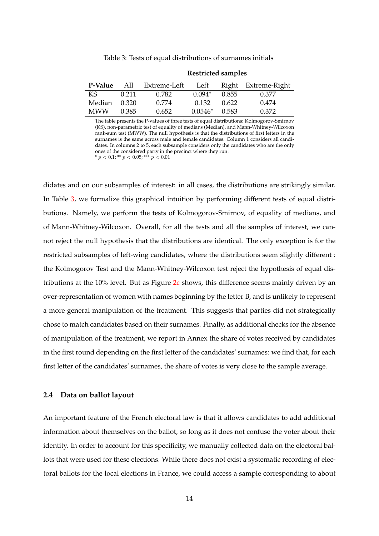<span id="page-14-0"></span>

|            |       |              | <b>Restricted samples</b> |       |                     |
|------------|-------|--------------|---------------------------|-------|---------------------|
| P-Value    | All   | Extreme-Left | Left                      |       | Right Extreme-Right |
| KS.        | 0.211 | 0.782        | $0.094*$                  | 0.855 | 0.377               |
| Median     | 0.320 | 0.774        | 0.132                     | 0.622 | 0.474               |
| <b>MWW</b> | 0.385 | 0.652        | $0.0546*$                 | 0.583 | 0.372               |

Table 3: Tests of equal distributions of surnames initials

The table presents the P-values of three tests of equal distributions: Kolmogorov-Smirnov (KS), non-parametric test of equality of medians (Median), and Mann-Whitney-Wilcoxon rank-sum test (MWW). The null hypothesis is that the distributions of first letters in the surnames is the same across male and female candidates. Column 1 considers all candidates. In columns 2 to 5, each subsample considers only the candidates who are the only ones of the considered party in the precinct where they run. \*  $p < 0.1$ ; \*\*  $p < 0.05$ ; \*\*\*  $p < 0.01$ 

didates and on our subsamples of interest: in all cases, the distributions are strikingly similar. In Table [3,](#page-14-0) we formalize this graphical intuition by performing different tests of equal distributions. Namely, we perform the tests of Kolmogorov-Smirnov, of equality of medians, and of Mann-Whitney-Wilcoxon. Overall, for all the tests and all the samples of interest, we cannot reject the null hypothesis that the distributions are identical. The only exception is for the restricted subsamples of left-wing candidates, where the distributions seem slightly different : the Kolmogorov Test and the Mann-Whitney-Wilcoxon test reject the hypothesis of equal distributions at the 10% level. But as Figure [2c](#page-15-0) shows, this difference seems mainly driven by an over-representation of women with names beginning by the letter B, and is unlikely to represent a more general manipulation of the treatment. This suggests that parties did not strategically chose to match candidates based on their surnames. Finally, as additional checks for the absence of manipulation of the treatment, we report in Annex the share of votes received by candidates in the first round depending on the first letter of the candidates' surnames: we find that, for each first letter of the candidates' surnames, the share of votes is very close to the sample average.

### **2.4 Data on ballot layout**

An important feature of the French electoral law is that it allows candidates to add additional information about themselves on the ballot, so long as it does not confuse the voter about their identity. In order to account for this specificity, we manually collected data on the electoral ballots that were used for these elections. While there does not exist a systematic recording of electoral ballots for the local elections in France, we could access a sample corresponding to about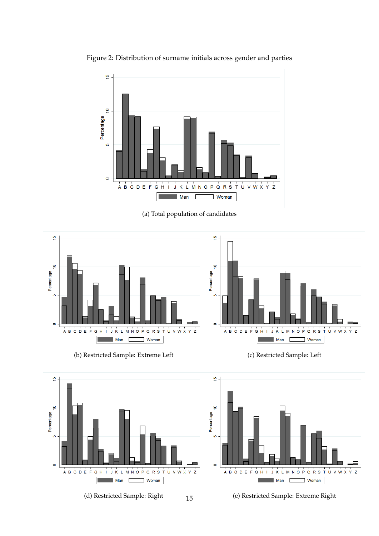

<span id="page-15-0"></span>Figure 2: Distribution of surname initials across gender and parties

(a) Total population of candidates



(b) Restricted Sample: Extreme Left (c) Restricted Sample: Left



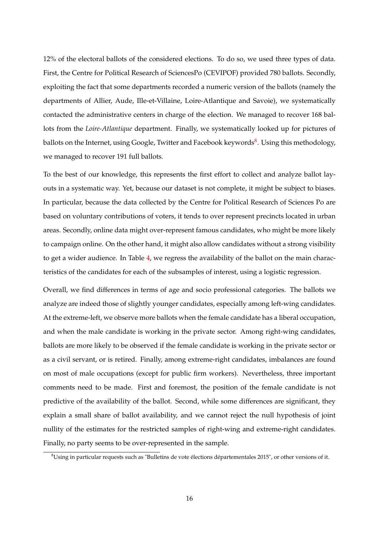12% of the electoral ballots of the considered elections. To do so, we used three types of data. First, the Centre for Political Research of SciencesPo (CEVIPOF) provided 780 ballots. Secondly, exploiting the fact that some departments recorded a numeric version of the ballots (namely the departments of Allier, Aude, Ille-et-Villaine, Loire-Atlantique and Savoie), we systematically contacted the administrative centers in charge of the election. We managed to recover 168 ballots from the *Loire-Atlantique* department. Finally, we systematically looked up for pictures of ballots on the Internet*,* using Google, Twitter and Facebook keywords<sup>[8](#page-16-0)</sup>. Using this methodology, we managed to recover 191 full ballots.

To the best of our knowledge, this represents the first effort to collect and analyze ballot layouts in a systematic way. Yet, because our dataset is not complete, it might be subject to biases. In particular, because the data collected by the Centre for Political Research of Sciences Po are based on voluntary contributions of voters, it tends to over represent precincts located in urban areas. Secondly, online data might over-represent famous candidates, who might be more likely to campaign online. On the other hand, it might also allow candidates without a strong visibility to get a wider audience. In Table [4,](#page-17-0) we regress the availability of the ballot on the main characteristics of the candidates for each of the subsamples of interest, using a logistic regression.

Overall, we find differences in terms of age and socio professional categories. The ballots we analyze are indeed those of slightly younger candidates, especially among left-wing candidates. At the extreme-left, we observe more ballots when the female candidate has a liberal occupation, and when the male candidate is working in the private sector. Among right-wing candidates, ballots are more likely to be observed if the female candidate is working in the private sector or as a civil servant, or is retired. Finally, among extreme-right candidates, imbalances are found on most of male occupations (except for public firm workers). Nevertheless, three important comments need to be made. First and foremost, the position of the female candidate is not predictive of the availability of the ballot. Second, while some differences are significant, they explain a small share of ballot availability, and we cannot reject the null hypothesis of joint nullity of the estimates for the restricted samples of right-wing and extreme-right candidates. Finally, no party seems to be over-represented in the sample.

<span id="page-16-0"></span><sup>8</sup>Using in particular requests such as "Bulletins de vote élections départementales 2015", or other versions of it.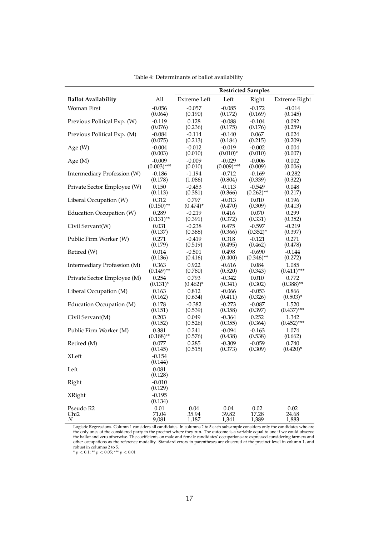<span id="page-17-0"></span>

|                             |                                |                                |                                          | <b>Restricted Samples</b>      |                             |
|-----------------------------|--------------------------------|--------------------------------|------------------------------------------|--------------------------------|-----------------------------|
| <b>Ballot Availability</b>  | All                            | <b>Extreme Left</b>            | Left                                     | Right                          | Extreme Right               |
| Woman First                 | $-0.056$                       | $-0.057$                       | $-0.085$                                 | $-0.172$                       | $-0.014$                    |
| Previous Political Exp. (W) | (0.064)                        | (0.190)                        | (0.172)                                  | (0.169)                        | (0.145)                     |
|                             | $-0.119$                       | 0.128                          | $-0.088$                                 | $-0.104$                       | 0.092                       |
| Previous Political Exp. (M) | (0.076)                        | (0.236)                        | (0.175)                                  | (0.176)                        | (0.259)                     |
|                             | $-0.084$                       | $-0.114$                       | $-0.140$                                 | 0.067                          | 0.024                       |
| Age (W)                     | (0.075)<br>$-0.004$<br>(0.003) | (0.213)<br>$-0.012$            | (0.184)<br>$-0.019$                      | (0.215)<br>$-0.002$            | (0.209)<br>0.004            |
| Age $(M)$                   | $-0.009$<br>$(0.003)$ ***      | (0.010)<br>$-0.009$<br>(0.010) | $(0.010)^*$<br>$-0.029$<br>$(0.009)$ *** | (0.010)<br>$-0.006$<br>(0.009) | (0.007)<br>0.002<br>(0.006) |
| Intermediary Profession (W) | $-0.186$                       | $-1.194$                       | $-0.712$                                 | $-0.169$                       | $-0.282$                    |
|                             | (0.178)                        | (1.086)                        | (0.804)                                  | (0.339)                        | (0.322)                     |
| Private Sector Employee (W) | 0.150                          | $-0.453$                       | $-0.113$                                 | $-0.549$                       | 0.048                       |
|                             | (0.113)                        | (0.381)                        | (0.366)                                  | $(0.262)$ **                   | (0.217)                     |
| Liberal Occupation (W)      | 0.312                          | 0.797                          | $-0.013$                                 | 0.010                          | 0.196                       |
|                             | $(0.150)$ **                   | $(0.474)^*$                    | (0.470)                                  | (0.309)                        | (0.413)                     |
| Education Occupation (W)    | 0.289                          | $-0.219$                       | 0.416                                    | 0.070                          | 0.299                       |
|                             | $(0.131)$ **                   | (0.391)                        | (0.372)                                  | (0.331)                        | (0.352)                     |
| Civil Servant(W)            | 0.031                          | $-0.238$                       | 0.475                                    | $-0.597$                       | $-0.219$                    |
|                             | (0.137)                        | (0.388)                        | (0.366)                                  | $(0.352)^*$                    | (0.397)                     |
| Public Firm Worker (W)      | 0.271                          | $-0.419$                       | 0.318                                    | $-0.121$                       | 0.271                       |
|                             | (0.179)                        | (0.519)                        | (0.495)                                  | (0.462)                        | (0.478)                     |
| Retired (W)                 | 0.014                          | $-0.501$                       | 0.498                                    | $-0.690$                       | $-0.144$                    |
|                             | (0.136)                        | (0.416)                        | (0.400)                                  | $(0.346)$ **                   | (0.272)                     |
| Intermediary Profession (M) | 0.363                          | 0.922                          | $-0.616$                                 | 0.084                          | 1.085                       |
|                             | $(0.149)$ **                   | (0.780)                        | (0.520)                                  | (0.343)                        | $(0.411)$ ***               |
| Private Sector Employee (M) | 0.254                          | 0.793                          | $-0.342$                                 | 0.010                          | 0.772                       |
|                             | $(0.131)^*$                    | $(0.462)^*$                    | (0.341)                                  | (0.302)                        | $(0.388)$ **                |
| Liberal Occupation (M)      | 0.163                          | 0.812                          | $-0.066$                                 | $-0.053$                       | 0.866                       |
|                             | (0.162)                        | (0.634)                        | (0.411)                                  | (0.326)                        | $(0.503)^*$                 |
| Education Occupation (M)    | 0.178                          | $-0.382$                       | $-0.273$                                 | $-0.087$                       | 1.520                       |
|                             | (0.151)                        | (0.539)                        | (0.358)                                  | (0.397)                        | $(0.437)$ ***               |
| Civil Servant(M)            | 0.203                          | 0.049                          | $-0.364$                                 | 0.252                          | 1.342                       |
|                             | (0.152)                        | (0.526)                        | (0.355)                                  | (0.364)                        | $(0.452)$ ***               |
| Public Firm Worker (M)      | 0.381                          | 0.241                          | $-0.094$                                 | $-0.163$                       | 1.074                       |
|                             | $(0.188)$ **                   | (0.576)                        | (0.438)                                  | (0.538)                        | (0.662)                     |
| Retired (M)                 | 0.077                          | 0.285                          | $-0.309$                                 | $-0.059$                       | 0.740                       |
|                             | (0.145)                        | (0.515)                        | (0.373)                                  | (0.309)                        | $(0.420)^*$                 |
| XLeft                       | $-0.154$<br>(0.144)            |                                |                                          |                                |                             |
| Left                        | 0.081<br>(0.128)               |                                |                                          |                                |                             |
| Right                       | $-0.010$<br>(0.129)            |                                |                                          |                                |                             |
| <b>XRight</b>               | $-0.195$<br>(0.134)            |                                |                                          |                                |                             |
| Pseudo R2                   | 0.01                           | 0.04                           | 0.04                                     | 0.02                           | 0.02                        |
| Chi <sub>2</sub>            | 71.04                          | 35.94                          | 39.82                                    | 17.28                          | 24.68                       |
| $\cal N$                    | 9,081                          | 1,187                          | 1,341                                    | 1,389                          | 1,883                       |

Table 4: Determinants of ballot availability

Logistic Regressions. Column 1 considers all candidates. In columns 2 to 5 each subsample considers only the candidates who are the only ones of the considered party in the precinct where they run. The outcome is a variab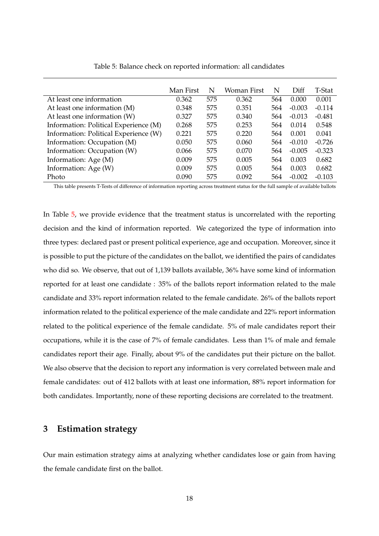<span id="page-18-0"></span>

|                                       | Man First | N   | Woman First | N   | Diff     | T-Stat   |
|---------------------------------------|-----------|-----|-------------|-----|----------|----------|
| At least one information              | 0.362     | 575 | 0.362       | 564 | 0.000    | 0.001    |
| At least one information (M)          | 0.348     | 575 | 0.351       | 564 | $-0.003$ | $-0.114$ |
| At least one information (W)          | 0.327     | 575 | 0.340       | 564 | $-0.013$ | $-0.481$ |
| Information: Political Experience (M) | 0.268     | 575 | 0.253       | 564 | 0.014    | 0.548    |
| Information: Political Experience (W) | 0.221     | 575 | 0.220       | 564 | 0.001    | 0.041    |
| Information: Occupation (M)           | 0.050     | 575 | 0.060       | 564 | $-0.010$ | $-0.726$ |
| Information: Occupation (W)           | 0.066     | 575 | 0.070       | 564 | $-0.005$ | $-0.323$ |
| Information: Age (M)                  | 0.009     | 575 | 0.005       | 564 | 0.003    | 0.682    |
| Information: Age (W)                  | 0.009     | 575 | 0.005       | 564 | 0.003    | 0.682    |
| Photo                                 | 0.090     | 575 | 0.092       | 564 | $-0.002$ | $-0.103$ |

Table 5: Balance check on reported information: all candidates

This table presents T-Tests of difference of information reporting across treatment status for the full sample of available ballots

In Table [5,](#page-18-0) we provide evidence that the treatment status is uncorrelated with the reporting decision and the kind of information reported. We categorized the type of information into three types: declared past or present political experience, age and occupation. Moreover, since it is possible to put the picture of the candidates on the ballot, we identified the pairs of candidates who did so. We observe, that out of 1,139 ballots available, 36% have some kind of information reported for at least one candidate : 35% of the ballots report information related to the male candidate and 33% report information related to the female candidate. 26% of the ballots report information related to the political experience of the male candidate and 22% report information related to the political experience of the female candidate. 5% of male candidates report their occupations, while it is the case of 7% of female candidates. Less than 1% of male and female candidates report their age. Finally, about 9% of the candidates put their picture on the ballot. We also observe that the decision to report any information is very correlated between male and female candidates: out of 412 ballots with at least one information, 88% report information for both candidates. Importantly, none of these reporting decisions are correlated to the treatment.

## **3 Estimation strategy**

Our main estimation strategy aims at analyzing whether candidates lose or gain from having the female candidate first on the ballot.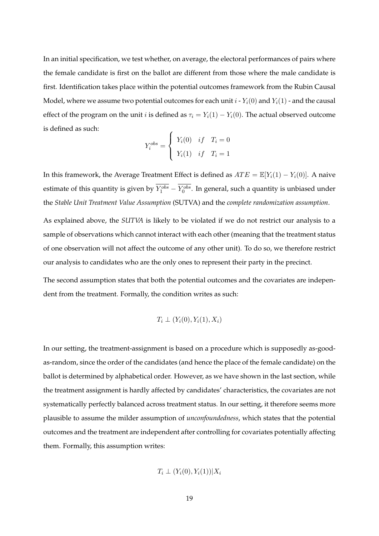In an initial specification, we test whether, on average, the electoral performances of pairs where the female candidate is first on the ballot are different from those where the male candidate is first. Identification takes place within the potential outcomes framework from the Rubin Causal Model, where we assume two potential outcomes for each unit  $i$  -  $Y_i(0)$  and  $Y_i(1)$  - and the causal effect of the program on the unit *i* is defined as  $\tau_i = Y_i(1) - Y_i(0)$ . The actual observed outcome is defined as such:

$$
Y_i^{obs} = \begin{cases} Y_i(0) & if \quad T_i = 0 \\ Y_i(1) & if \quad T_i = 1 \end{cases}
$$

In this framework, the Average Treatment Effect is defined as  $ATE = \mathbb{E}[Y_i(1) - Y_i(0)]$ . A naive estimate of this quantity is given by  $Y_1^{obs} - Y_0^{obs}$ . In general, such a quantity is unbiased under the *Stable Unit Treatment Value Assumption* (SUTVA) and the *complete randomization assumption*.

As explained above, the *SUTVA* is likely to be violated if we do not restrict our analysis to a sample of observations which cannot interact with each other (meaning that the treatment status of one observation will not affect the outcome of any other unit). To do so, we therefore restrict our analysis to candidates who are the only ones to represent their party in the precinct.

The second assumption states that both the potential outcomes and the covariates are independent from the treatment. Formally, the condition writes as such:

$$
T_i \perp (Y_i(0), Y_i(1), X_i)
$$

In our setting, the treatment-assignment is based on a procedure which is supposedly as-goodas-random, since the order of the candidates (and hence the place of the female candidate) on the ballot is determined by alphabetical order. However, as we have shown in the last section, while the treatment assignment is hardly affected by candidates' characteristics, the covariates are not systematically perfectly balanced across treatment status. In our setting, it therefore seems more plausible to assume the milder assumption of *unconfoundedness*, which states that the potential outcomes and the treatment are independent after controlling for covariates potentially affecting them. Formally, this assumption writes:

$$
T_i \perp (Y_i(0), Y_i(1)) | X_i
$$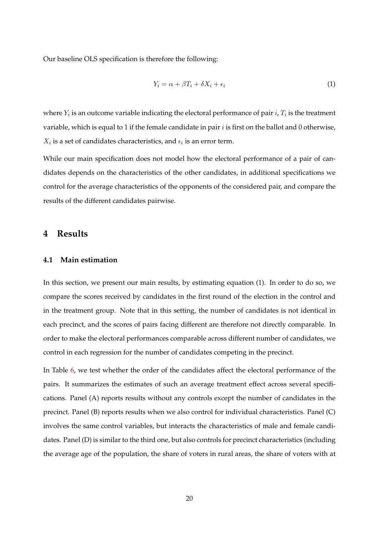Our baseline OLS specification is therefore the following:

$$
Y_i = \alpha + \beta T_i + \delta X_i + \epsilon_i \tag{1}
$$

where  $Y_i$  is an outcome variable indicating the electoral performance of pair  $i$ ,  $T_i$  is the treatment variable, which is equal to 1 if the female candidate in pair  $i$  is first on the ballot and 0 otherwise,  $X_i$  is a set of candidates characteristics, and  $\epsilon_i$  is an error term.

While our main specification does not model how the electoral performance of a pair of candidates depends on the characteristics of the other candidates, in additional specifications we control for the average characteristics of the opponents of the considered pair, and compare the results of the different candidates pairwise.

## **4 Results**

#### **4.1 Main estimation**

In this section, we present our main results, by estimating equation (1). In order to do so, we compare the scores received by candidates in the first round of the election in the control and in the treatment group. Note that in this setting, the number of candidates is not identical in each precinct, and the scores of pairs facing different are therefore not directly comparable. In order to make the electoral performances comparable across different number of candidates, we control in each regression for the number of candidates competing in the precinct.

In Table [6,](#page-21-0) we test whether the order of the candidates affect the electoral performance of the pairs. It summarizes the estimates of such an average treatment effect across several specifications. Panel (A) reports results without any controls except the number of candidates in the precinct. Panel (B) reports results when we also control for individual characteristics. Panel (C) involves the same control variables, but interacts the characteristics of male and female candidates. Panel (D) is similar to the third one, but also controls for precinct characteristics (including the average age of the population, the share of voters in rural areas, the share of voters with at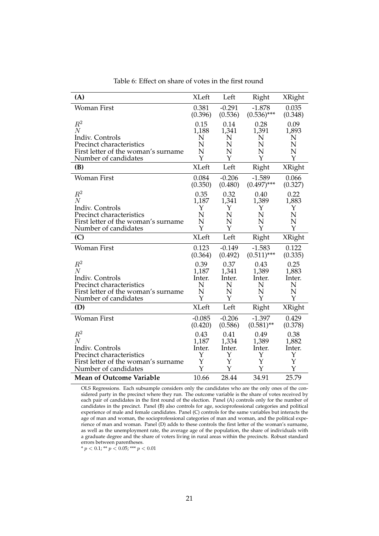<span id="page-21-0"></span>

| (A)                                                         | <b>XLeft</b> | Left     | Right         | <b>XRight</b> |
|-------------------------------------------------------------|--------------|----------|---------------|---------------|
| Woman First                                                 | 0.381        | $-0.291$ | $-1.878$      | 0.035         |
|                                                             | (0.396)      | (0.536)  | $(0.536)$ *** | (0.348)       |
| $\,R^2$                                                     | 0.15         | 0.14     | 0.28          | 0.09          |
| $\overline{N}$                                              | 1,188        | 1,341    | 1,391         | 1,893         |
| Indiv. Controls                                             | N            | N        | N             | N             |
| Precinct characteristics                                    | N            | N        | N             | N             |
| First letter of the woman's surname                         | N            | N        | N             | N             |
| Number of candidates                                        | Y            | Y        | Y             | Y             |
| (B)                                                         | <b>XLeft</b> | Left     | Right         | XRight        |
| <b>Woman First</b>                                          | 0.084        | $-0.206$ | $-1.589$      | 0.066         |
|                                                             | (0.350)      | (0.480)  | $(0.497)$ *** | (0.327)       |
| $R^2$                                                       | 0.35         | 0.32     | 0.40          | 0.22          |
| $\overline{N}$                                              | 1,187        | 1,341    | 1,389         | 1,883         |
| Indiv. Controls                                             | Y            | Y        | Υ             | Υ             |
| Precinct characteristics                                    | N            | N        | N             | N             |
| First letter of the woman's surname                         | N            | N        | N             | N             |
| Number of candidates                                        | Υ            | Y        | Y             | Y             |
| (C)                                                         | <b>XLeft</b> | Left     | Right         | XRight        |
| <b>Woman First</b>                                          | 0.123        | $-0.149$ | $-1.583$      | 0.122         |
|                                                             | (0.364)      | (0.492)  | $(0.511)$ *** | (0.335)       |
| $R^2$                                                       | 0.39         | 0.37     | 0.43          | 0.25          |
| $\overline{N}$                                              | 1,187        | 1,341    | 1,389         | 1,883         |
| Indiv. Controls                                             | Inter.       | Inter.   | Inter.        | Inter.        |
| Precinct characteristics                                    | N            | N        | N             | N             |
| First letter of the woman's surname                         | N            | N        | N             | N             |
| Number of candidates                                        | Υ            | Y        | Y             | Y             |
| (D)                                                         | <b>XLeft</b> | Left     | Right         | XRight        |
| <b>Woman First</b>                                          | $-0.085$     | $-0.206$ | $-1.397$      | 0.429         |
|                                                             | (0.420)      | (0.586)  | $(0.581)$ **  | (0.378)       |
| $R^2$                                                       | 0.43         | 0.41     | 0.49          | 0.38          |
| N                                                           | 1,187        | 1,334    | 1,389         | 1,882         |
| Indiv. Controls                                             | Inter.       | Inter.   | Inter.        | Inter.        |
| Precinct characteristics                                    | Y            | Y        | Υ             | Υ             |
| First letter of the woman's surname<br>Number of candidates | Y<br>Y       | Y<br>Y   | Y<br>Y        | Υ<br>Y        |
|                                                             |              |          |               |               |
| <b>Mean of Outcome Variable</b>                             | 10.66        | 28.44    | 34.91         | 25.79         |

Table 6: Effect on share of votes in the first round

OLS Regressions. Each subsample considers only the candidates who are the only ones of the considered party in the precinct where they run. The outcome variable is the share of votes received by each pair of candidates in the first round of the election. Panel (A) controls only for the number of candidates in the precinct. Panel (B) also controls for age, socioprofessional categories and political experience of male and female candidates. Panel (C) controls for the same variables but interacts the age of man and woman, the socioprofessional categories of man and woman, and the political experience of man and woman. Panel (D) adds to these controls the first letter of the woman's surname, as well as the unemployment rate, the average age of the population, the share of individuals with a graduate degree and the share of voters living in rural areas within the precincts. Robust standard errors between parentheses.

\*  $p < 0.1$ ; \*\*  $p < 0.05$ ; \*\*\*  $p < 0.01$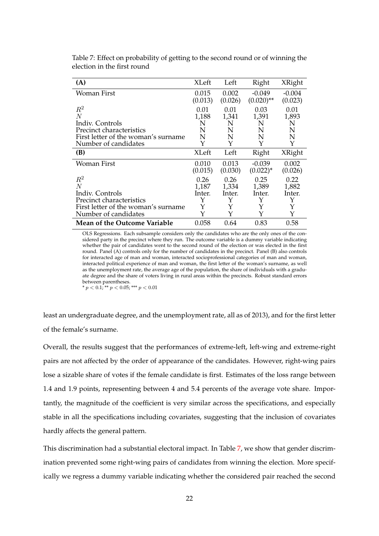| (A)                                 | XLeft   | Left    | Right         | XRight   |
|-------------------------------------|---------|---------|---------------|----------|
| Woman First                         | 0.015   | 0.002   | $-0.049$      | $-0.004$ |
|                                     | (0.013) | (0.026) | $(0.020)$ **  | (0.023)  |
| $R^2$                               | 0.01    | 0.01    | 0.03          | 0.01     |
| N                                   | 1,188   | 1,341   | 1,391         | 1,893    |
| Indiv. Controls                     | N       | N       | N             | N        |
| Precinct characteristics            | N       | N       | N             | N        |
| First letter of the woman's surname | N       | N       | N             | N        |
| Number of candidates                | Y       | Y       | Y             | Y        |
| (B)                                 | XLeft   | Left    | Right         | XRight   |
| Woman First                         | 0.010   | 0.013   | $-0.039$      | 0.002    |
|                                     | (0.015) | (0.030) | $(0.022)^{*}$ | (0.026)  |
| $R^2$                               | 0.26    | 0.26    | 0.25          | 0.22     |
| N                                   | 1,187   | 1,334   | 1,389         | 1,882    |
| Indiv. Controls                     | Inter.  | Inter.  | Inter.        | Inter.   |
| Precinct characteristics            | Y       | Y       | Y             | Υ        |
| First letter of the woman's surname | Y       | Y       | Y             | Y        |
| Number of candidates                | Y       | Y       | Y             | Y        |
| <b>Mean of the Outcome Variable</b> | 0.058   | 0.64    | 0.83          | 0.58     |

<span id="page-22-0"></span>Table 7: Effect on probability of getting to the second round or of winning the election in the first round

OLS Regressions. Each subsample considers only the candidates who are the only ones of the considered party in the precinct where they run. The outcome variable is a dummy variable indicating whether the pair of candidates went to the second round of the election or was elected in the first round. Panel (A) controls only for the number of candidates in the precinct. Panel (B) also controls for interacted age of man and woman, interacted socioprofessional categories of man and woman, interacted political experience of man and woman, the first letter of the woman's surname, as well as the unemployment rate, the average age of the population, the share of individuals with a graduate degree and the share of voters living in rural areas within the precincts. Robust standard errors between parentheses.

\*  $p < 0.1$ ; \*\*  $p < 0.05$ ; \*\*\*  $p < 0.01$ 

least an undergraduate degree, and the unemployment rate, all as of 2013), and for the first letter of the female's surname.

Overall, the results suggest that the performances of extreme-left, left-wing and extreme-right pairs are not affected by the order of appearance of the candidates. However, right-wing pairs lose a sizable share of votes if the female candidate is first. Estimates of the loss range between 1.4 and 1.9 points, representing between 4 and 5.4 percents of the average vote share. Importantly, the magnitude of the coefficient is very similar across the specifications, and especially stable in all the specifications including covariates, suggesting that the inclusion of covariates hardly affects the general pattern.

This discrimination had a substantial electoral impact. In Table [7,](#page-22-0) we show that gender discrimination prevented some right-wing pairs of candidates from winning the election. More specifically we regress a dummy variable indicating whether the considered pair reached the second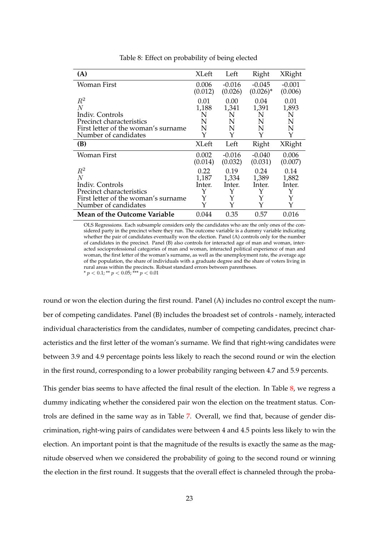<span id="page-23-0"></span>

| (A)                                 | <b>XLeft</b> | Left     | Right       | <b>XRight</b> |
|-------------------------------------|--------------|----------|-------------|---------------|
| Woman First                         | 0.006        | $-0.016$ | $-0.045$    | $-0.001$      |
|                                     | (0.012)      | (0.026)  | $(0.026)^*$ | (0.006)       |
| $R^2$                               | 0.01         | 0.00     | 0.04        | 0.01          |
| $\overline{N}$                      | 1,188        | 1,341    | 1,391       | 1,893         |
| Indiv. Controls                     | N            | N        | N           | N             |
| Precinct characteristics            | N            | N        | N           | N             |
| First letter of the woman's surname | N            | N        | N           | N             |
| Number of candidates                | Y            | Y        | Y           | Y             |
| (B)                                 | <b>XLeft</b> | Left     | Right       | <b>XRight</b> |
| Woman First                         | 0.002        | $-0.016$ | $-0.040$    | 0.006         |
|                                     | (0.014)      | (0.032)  | (0.031)     | (0.007)       |
| $\,R^2$                             | 0.22         | 0.19     | 0.24        | 0.14          |
| N                                   | 1,187        | 1,334    | 1,389       | 1,882         |
| Indiv. Controls                     | Inter.       | Inter.   | Inter.      | Inter.        |
| Precinct characteristics            | Y            | Y        | Y           | Y             |
| First letter of the woman's surname | Y            | Y        | Y           | Y             |
| Number of candidates                | Y            | Y        | Y           | Y             |
| <b>Mean of the Outcome Variable</b> | 0.044        | 0.35     | 0.57        | 0.016         |

Table 8: Effect on probability of being elected

OLS Regressions. Each subsample considers only the candidates who are the only ones of the considered party in the precinct where they run. The outcome variable is a dummy variable indicating whether the pair of candidates eventually won the election. Panel (A) controls only for the number of candidates in the precinct. Panel (B) also controls for interacted age of man and woman, interacted socioprofessional categories of man and woman, interacted political experience of man and woman, the first letter of the woman's surname, as well as the unemployment rate, the average age of the population, the share of individuals with a graduate degree and the share of voters living in rural areas within the precincts. Robust standard errors between parentheses.

\*  $p < 0.1$ ; \*\*  $p < 0.05$ ; \*\*\*  $p < 0.01$ 

round or won the election during the first round. Panel (A) includes no control except the number of competing candidates. Panel (B) includes the broadest set of controls - namely, interacted individual characteristics from the candidates, number of competing candidates, precinct characteristics and the first letter of the woman's surname. We find that right-wing candidates were between 3.9 and 4.9 percentage points less likely to reach the second round or win the election in the first round, corresponding to a lower probability ranging between 4.7 and 5.9 percents.

This gender bias seems to have affected the final result of the election. In Table [8,](#page-23-0) we regress a dummy indicating whether the considered pair won the election on the treatment status. Controls are defined in the same way as in Table [7.](#page-22-0) Overall, we find that, because of gender discrimination, right-wing pairs of candidates were between 4 and 4.5 points less likely to win the election. An important point is that the magnitude of the results is exactly the same as the magnitude observed when we considered the probability of going to the second round or winning the election in the first round. It suggests that the overall effect is channeled through the proba-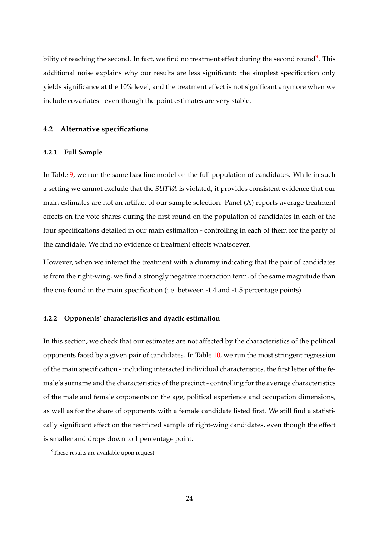bility of reaching the second. In fact*,* we find no treatment effect during the second round<sup>[9](#page-24-0)</sup>. This additional noise explains why our results are less significant: the simplest specification only yields significance at the 10% level, and the treatment effect is not significant anymore when we include covariates - even though the point estimates are very stable.

### **4.2 Alternative specifications**

#### **4.2.1 Full Sample**

In Table [9,](#page-25-0) we run the same baseline model on the full population of candidates. While in such a setting we cannot exclude that the *SUTVA* is violated, it provides consistent evidence that our main estimates are not an artifact of our sample selection. Panel (A) reports average treatment effects on the vote shares during the first round on the population of candidates in each of the four specifications detailed in our main estimation - controlling in each of them for the party of the candidate. We find no evidence of treatment effects whatsoever.

However, when we interact the treatment with a dummy indicating that the pair of candidates is from the right-wing, we find a strongly negative interaction term, of the same magnitude than the one found in the main specification (i.e. between -1.4 and -1.5 percentage points).

#### **4.2.2 Opponents' characteristics and dyadic estimation**

In this section, we check that our estimates are not affected by the characteristics of the political opponents faced by a given pair of candidates. In Table [10,](#page-26-0) we run the most stringent regression of the main specification - including interacted individual characteristics, the first letter of the female's surname and the characteristics of the precinct - controlling for the average characteristics of the male and female opponents on the age, political experience and occupation dimensions, as well as for the share of opponents with a female candidate listed first. We still find a statistically significant effect on the restricted sample of right-wing candidates, even though the effect is smaller and drops down to 1 percentage point.

<span id="page-24-0"></span><sup>&</sup>lt;sup>9</sup>These results are available upon request.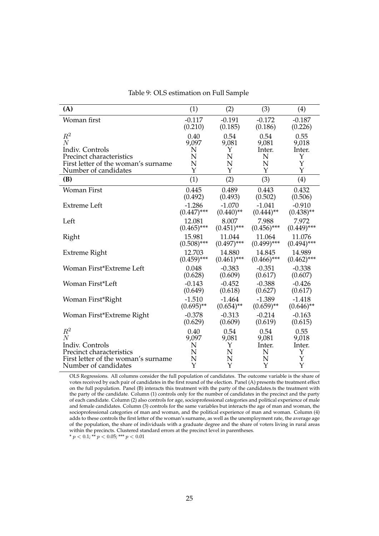<span id="page-25-0"></span>

| (A)                                 | (1)           | (2)           | (3)           | (4)           |
|-------------------------------------|---------------|---------------|---------------|---------------|
| Woman first                         | $-0.117$      | $-0.191$      | $-0.172$      | $-0.187$      |
|                                     | (0.210)       | (0.185)       | (0.186)       | (0.226)       |
| $R^2$                               | 0.40          | 0.54          | 0.54          | 0.55          |
| $\overline{N}$                      | 9,097         | 9,081         | 9,081         | 9,018         |
| Indiv. Controls                     | N             | Y             | Inter.        | Inter.        |
| Precinct characteristics            | N             | N             | N             | Y             |
| First letter of the woman's surname | N             | N             | N             | Y             |
| Number of candidates                | Y             | Y             | Y             | Y             |
| (B)                                 | (1)           | (2)           | (3)           | (4)           |
| Woman First                         | 0.445         | 0.489         | 0.443         | 0.432         |
|                                     | (0.492)       | (0.493)       | (0.502)       | (0.506)       |
| <b>Extreme</b> Left                 | $-1.286$      | $-1.070$      | $-1.041$      | $-0.910$      |
|                                     | $(0.447)$ *** | $(0.440)$ **  | $(0.444)$ **  | $(0.438)$ **  |
| Left                                | 12.081        | 8.007         | 7.988         | 7.972         |
|                                     | $(0.465)$ *** | $(0.451)$ *** | $(0.456)$ *** | $(0.449)$ *** |
| Right                               | 15.981        | 11.044        | 11.064        | 11.076        |
|                                     | $(0.508)$ *** | $(0.497)$ *** | $(0.499)$ *** | $(0.494)$ *** |
| Extreme Right                       | 12.703        | 14.880        | 14.845        | 14.989        |
|                                     | $(0.459)$ *** | $(0.461)$ *** | $(0.466)$ *** | $(0.462)$ *** |
| Woman First*Extreme Left            | 0.048         | $-0.383$      | $-0.351$      | $-0.338$      |
|                                     | (0.628)       | (0.609)       | (0.617)       | (0.607)       |
| Woman First*Left                    | $-0.143$      | $-0.452$      | $-0.388$      | $-0.426$      |
|                                     | (0.649)       | (0.618)       | (0.627)       | (0.617)       |
| Woman First*Right                   | $-1.510$      | $-1.464$      | $-1.389$      | $-1.418$      |
|                                     | $(0.695)$ **  | $(0.654)$ **  | $(0.659)$ **  | $(0.646)$ **  |
| Woman First*Extreme Right           | $-0.378$      | $-0.313$      | $-0.214$      | $-0.163$      |
|                                     | (0.629)       | (0.609)       | (0.619)       | (0.615)       |
| $R^2$                               | 0.40          | 0.54          | 0.54          | 0.55          |
| $\overline{N}$                      | 9,097         | 9,081         | 9,081         | 9,018         |
| Indiv. Controls                     | N             | Υ             | Inter.        | Inter.        |
| Precinct characteristics            | N             | N             | N             | Υ             |
| First letter of the woman's surname | N             | N             | N             | Y             |
| Number of candidates                | Y             | Y             | Y             | Y             |

Table 9: OLS estimation on Full Sample

OLS Regressions. All columns consider the full population of candidates. The outcome variable is the share of votes received by each pair of candidates in the first round of the election. Panel (A) presents the treatment effect on the full population. Panel (B) interacts this treatment with the party of the candidates.ts the treatment with the party of the candidate. Column (1) controls only for the number of candidates in the precinct and the party of each candidate. Column (2) also controls for age, socioprofessional categories and political experience of male and female candidates. Column (3) controls for the same variables but interacts the age of man and woman, the socioprofessional categories of man and woman, and the political experience of man and woman. Column (4) adds to these controls the first letter of the woman's surname, as well as the unemployment rate, the average age of the population, the share of individuals with a graduate degree and the share of voters living in rural areas within the precincts. Clustered standard errors at the precinct level in parentheses.

\*  $p < 0.1$ ; \*\*  $p < 0.05$ ; \*\*\*  $p < 0.01$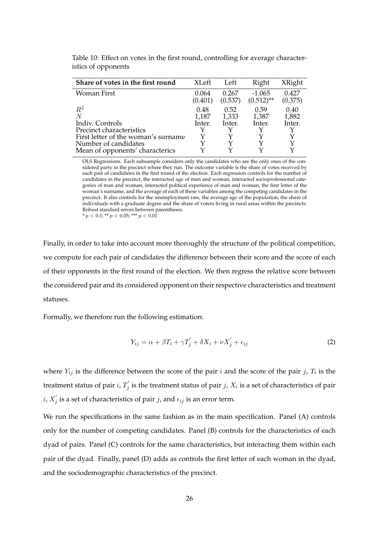| Share of votes in the first round   | <b>XLeft</b>     | Left             | Right                    | XRight           |
|-------------------------------------|------------------|------------------|--------------------------|------------------|
| Woman First                         | 0.064<br>(0.401) | 0.267<br>(0.537) | $-1.065$<br>$(0.512)$ ** | 0.427<br>(0.375) |
| $R^2$<br>N                          | 0.48<br>1,187    | 0.52<br>1,333    | 0.59<br>1,387            | 0.40<br>1,882    |
| Indiv. Controls                     | Inter.           | Inter.           | Inter.                   | Inter.           |
| Precinct characteristics            |                  |                  |                          |                  |
| First letter of the woman's surname |                  |                  |                          |                  |
| Number of candidates                |                  |                  |                          |                  |
| Mean of opponents' characterics     |                  |                  |                          |                  |
|                                     |                  |                  |                          |                  |

<span id="page-26-0"></span>Table 10: Effect on votes in the first round, controlling for average characteristics of opponents

OLS Regressions. Each subsample considers only the candidates who are the only ones of the considered party in the precinct where they run. The outcome variable is the share of votes received by each pair of candidates in the first round of the election. Each regression controls for the number of candidates in the precinct, the interacted age of man and woman, interacted socioprofessional categories of man and woman, interacted political experience of man and woman, the first letter of the woman's surname, and the average of each of these variables among the competing candidates in the precinct. It also controls for the unemployment rate, the average age of the population, the share of individuals with a graduate degree and the share of voters living in rural areas within the precincts. Robust standard errors between parentheses. \*  $p < 0.1$ ; \*\*  $p < 0.05$ ; \*\*\*  $p < 0.01$ 

Finally, in order to take into account more thoroughly the structure of the political competition, we compute for each pair of candidates the difference between their score and the score of each of their opponents in the first round of the election. We then regress the relative score between the considered pair and its considered opponent on their respective characteristics and treatment statuses.

Formally, we therefore run the following estimation:

$$
Y_{ij} = \alpha + \beta T_i + \gamma T_j' + \delta X_i + \nu X_j' + \epsilon_{ij}
$$
\n(2)

where  $Y_{ij}$  is the difference between the score of the pair  $i$  and the score of the pair  $j$ ,  $T_i$  is the treatment status of pair *i*,  $T'_{i}$  $j^{'}_j$  is the treatment status of pair  $j$ ,  $X_i$  is a set of characteristics of pair  $i, X'_i$  $j_j$  is a set of characteristics of pair  $j$ , and  $\epsilon_{ij}$  is an error term.

We run the specifications in the same fashion as in the main specification. Panel (A) controls only for the number of competing candidates. Panel (B) controls for the characteristics of each dyad of pairs. Panel (C) controls for the same characteristics, but interacting them within each pair of the dyad. Finally, panel (D) adds as controls the first letter of each woman in the dyad, and the sociodemographic characteristics of the precinct.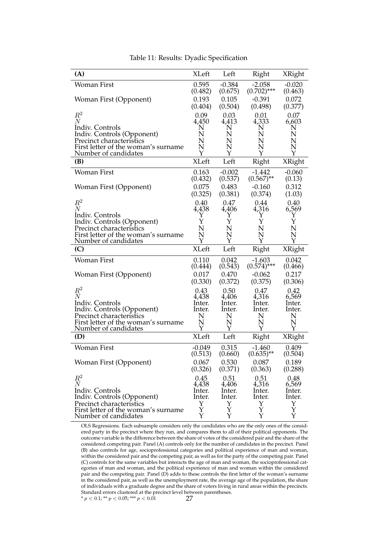<span id="page-27-0"></span>

| (A)                                                                                                                                                                 | <b>XLeft</b>                                | Left                                        | Right                                           | XRight                                                |
|---------------------------------------------------------------------------------------------------------------------------------------------------------------------|---------------------------------------------|---------------------------------------------|-------------------------------------------------|-------------------------------------------------------|
| <b>Woman First</b>                                                                                                                                                  | 0.595                                       | $-0.384$                                    | $-2.058$                                        | $-0.020$                                              |
|                                                                                                                                                                     | (0.482)                                     | (0.675)                                     | $(0.702)$ ***                                   | (0.463)                                               |
| Woman First (Opponent)                                                                                                                                              | 0.193                                       | 0.105                                       | $-0.391$                                        | 0.072                                                 |
|                                                                                                                                                                     | (0.404)                                     | (0.504)                                     | (0.498)                                         | (0.377)                                               |
| $R^2$                                                                                                                                                               | 0.09                                        | 0.03                                        | 0.01                                            | 0.07                                                  |
| $\overline{N}$                                                                                                                                                      | 4,450                                       | 4,413                                       | 4,333                                           | 6,603                                                 |
| Indiv. Controls                                                                                                                                                     | N                                           | N                                           | N                                               | N                                                     |
| Indiv. Controls (Opponent)                                                                                                                                          | N                                           | N                                           | N                                               | N                                                     |
| Precinct characteristics                                                                                                                                            | N                                           | N                                           | N                                               | N                                                     |
| First letter of the woman's surname                                                                                                                                 | N                                           | N                                           | N                                               | N                                                     |
| Number of candidates                                                                                                                                                | Y                                           | Y                                           | Y                                               | Y                                                     |
| (B)                                                                                                                                                                 | <b>XLeft</b>                                | Left                                        | Right                                           | XRight                                                |
| Woman First<br>Woman First (Opponent)                                                                                                                               | 0.163<br>(0.432)<br>0.075                   | $-0.002$<br>(0.537)<br>0.483                | $-1.442$<br>$(0.567)$ **<br>$-0.160$<br>(0.374) | $-0.060$<br>(0.13)<br>0.312                           |
| $R^2$<br>$\,N$<br>Indiv. Controls                                                                                                                                   | (0.325)<br>0.40<br>4,438<br>Υ               | (0.381)<br>0.47<br>4,406<br>Υ               | 0.44<br>4,316<br>Υ                              | (1.03)<br>0.40<br>6,569<br>Υ                          |
| Indiv. Controls (Opponent)                                                                                                                                          | Y                                           | Υ                                           | Y                                               | Υ                                                     |
| Precinct characteristics                                                                                                                                            | N                                           | N                                           | N                                               | N                                                     |
| First letter of the woman's surname                                                                                                                                 | N                                           | N                                           | N                                               | N                                                     |
| Number of candidates                                                                                                                                                | Y                                           | Υ                                           | Y                                               | Y                                                     |
|                                                                                                                                                                     |                                             |                                             |                                                 |                                                       |
| (C)                                                                                                                                                                 | <b>XLeft</b>                                | Left                                        | Right                                           | XRight                                                |
| <b>Woman First</b>                                                                                                                                                  | 0.110                                       | 0.042                                       | $-1.603$                                        | 0.042                                                 |
|                                                                                                                                                                     | (0.444)                                     | (0.543)                                     | $(0.574)$ ***                                   | (0.466)                                               |
| Woman First (Opponent)                                                                                                                                              | 0.017                                       | 0.470                                       | $-0.062$                                        | 0.217                                                 |
|                                                                                                                                                                     | (0.330)                                     | (0.372)                                     | (0.375)                                         | (0.306)                                               |
| $R^2$                                                                                                                                                               | 0.43                                        | 0.50                                        | 0.47                                            | 0.42                                                  |
| $\,N$                                                                                                                                                               | 4,438                                       | 4,406                                       | 4,316                                           | 6,569                                                 |
| Indiv. Controls                                                                                                                                                     | lnter.                                      | lnter.                                      | Inter.                                          | lnter.                                                |
| Indiv. Controls (Opponent)                                                                                                                                          | Inter.                                      | Inter.                                      | Inter.                                          | Inter.                                                |
| Precinct characteristics                                                                                                                                            | N                                           | N                                           | N                                               | N                                                     |
| First letter of the woman's surname                                                                                                                                 | N                                           | N                                           | N                                               | N                                                     |
| Number of candidates                                                                                                                                                | Y                                           | Y                                           | Y                                               | Y                                                     |
| (D)                                                                                                                                                                 | <b>XLeft</b>                                | Left                                        | Right                                           | XRight                                                |
| <b>Woman First</b>                                                                                                                                                  | $-0.049$                                    | 0.315                                       | $-1.460$                                        | 0.409                                                 |
|                                                                                                                                                                     | (0.513)                                     | (0.660)                                     | $(0.635)$ **                                    | (0.504)                                               |
| Woman First (Opponent)                                                                                                                                              | 0.067                                       | 0.530                                       | 0.087                                           | 0.189                                                 |
|                                                                                                                                                                     | (0.326)                                     | (0.371)                                     | (0.363)                                         | (0.288)                                               |
| $R^2$<br>$\overline{N}$<br>Indiv. Controls<br>Indiv. Controls (Opponent)<br>Precinct characteristics<br>First letter of the woman's surname<br>Number of candidates | 0.45<br>4,438<br>Inter.<br>Inter.<br>Y<br>Y | 0.51<br>4,406<br>lnter.<br>Inter.<br>Y<br>Y | 0.51<br>4,316<br>Inter.<br>Inter.<br>Y<br>Y     | 0.48<br>6,569<br>Inter.<br>Inter.<br>Υ<br>$\mathbf Y$ |

Table 11: Results: Dyadic Specification

OLS Regressions. Each subsample considers only the candidates who are the only ones of the considered party in the precinct where they run, and compares them to all of their political opponents. The outcome variable is the difference between the share of votes of the considered pair and the share of the considered competing pair. Panel (A) controls only for the number of candidates in the precinct. Panel (B) also controls for age, socioprofessional categories and political experience of man and woman, within the considered pair and the competing pair, as well as for the party of the competing pair. Panel (C) controls for the same variables but interacts the age of man and woman, the socioprofessional categories of man and woman, and the political experience of man and woman within the considered pair and the competing pair. Panel (D) adds to these controls the first letter of the woman's surname in the considered pair, as well as the unemployment rate, the average age of the population, the share of individuals with a graduate degree and the share of voters living in rural areas within the precincts. Standard errors clustered at the precinct level between parentheses.<br>\*  $p < 0.1$ ; \*\*  $p < 0.05$ ; \*\*\*  $p < 0.01$  27 \*  $p < 0.1$ ; \*\*  $p < 0.05$ ; \*\*\*  $p < 0.01$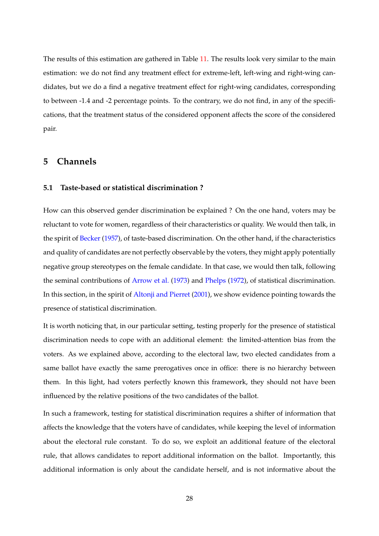The results of this estimation are gathered in Table [11.](#page-27-0) The results look very similar to the main estimation: we do not find any treatment effect for extreme-left, left-wing and right-wing candidates, but we do a find a negative treatment effect for right-wing candidates, corresponding to between -1.4 and -2 percentage points. To the contrary, we do not find, in any of the specifications, that the treatment status of the considered opponent affects the score of the considered pair.

## **5 Channels**

#### **5.1 Taste-based or statistical discrimination ?**

How can this observed gender discrimination be explained ? On the one hand, voters may be reluctant to vote for women, regardless of their characteristics or quality. We would then talk, in the spirit of [Becker](#page-41-4) [\(1957\)](#page-41-4), of taste-based discrimination. On the other hand, if the characteristics and quality of candidates are not perfectly observable by the voters, they might apply potentially negative group stereotypes on the female candidate. In that case, we would then talk, following the seminal contributions of [Arrow et al.](#page-41-5) [\(1973\)](#page-41-5) and [Phelps](#page-45-6) [\(1972\)](#page-45-6), of statistical discrimination. In this section, in the spirit of [Altonji and Pierret](#page-41-0) [\(2001\)](#page-41-0), we show evidence pointing towards the presence of statistical discrimination.

It is worth noticing that, in our particular setting, testing properly for the presence of statistical discrimination needs to cope with an additional element: the limited-attention bias from the voters. As we explained above, according to the electoral law, two elected candidates from a same ballot have exactly the same prerogatives once in office: there is no hierarchy between them. In this light, had voters perfectly known this framework, they should not have been influenced by the relative positions of the two candidates of the ballot.

In such a framework, testing for statistical discrimination requires a shifter of information that affects the knowledge that the voters have of candidates, while keeping the level of information about the electoral rule constant. To do so, we exploit an additional feature of the electoral rule, that allows candidates to report additional information on the ballot. Importantly, this additional information is only about the candidate herself, and is not informative about the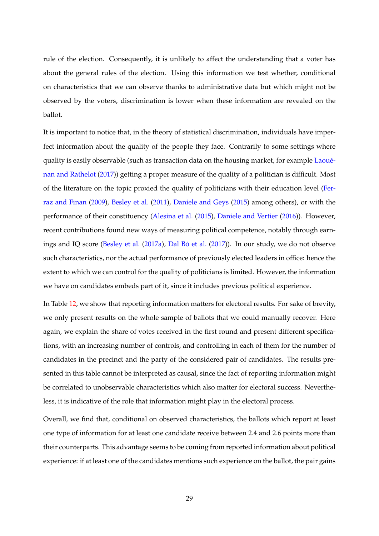rule of the election. Consequently, it is unlikely to affect the understanding that a voter has about the general rules of the election. Using this information we test whether, conditional on characteristics that we can observe thanks to administrative data but which might not be observed by the voters, discrimination is lower when these information are revealed on the ballot.

It is important to notice that, in the theory of statistical discrimination, individuals have imperfect information about the quality of the people they face. Contrarily to some settings where quality is easily observable (such as transaction data on the housing market, for example [Laoué](#page-44-10)[nan and Rathelot](#page-44-10) [\(2017\)](#page-44-10)) getting a proper measure of the quality of a politician is difficult. Most of the literature on the topic proxied the quality of politicians with their education level [\(Fer](#page-43-11)[raz and Finan](#page-43-11) [\(2009\)](#page-43-11), [Besley et al.](#page-42-12) [\(2011\)](#page-42-12), [Daniele and Geys](#page-43-12) [\(2015\)](#page-43-12) among others), or with the performance of their constituency [\(Alesina et al.](#page-41-13) [\(2015\)](#page-41-13), [Daniele and Vertier](#page-43-13) [\(2016\)](#page-43-13)). However, recent contributions found new ways of measuring political competence, notably through earnings and IQ score [\(Besley et al.](#page-42-13) [\(2017a\)](#page-42-13), [Dal Bó et al.](#page-43-14) [\(2017\)](#page-43-14)). In our study, we do not observe such characteristics, nor the actual performance of previously elected leaders in office: hence the extent to which we can control for the quality of politicians is limited. However, the information we have on candidates embeds part of it, since it includes previous political experience.

In Table [12,](#page-30-0) we show that reporting information matters for electoral results. For sake of brevity, we only present results on the whole sample of ballots that we could manually recover. Here again, we explain the share of votes received in the first round and present different specifications, with an increasing number of controls, and controlling in each of them for the number of candidates in the precinct and the party of the considered pair of candidates. The results presented in this table cannot be interpreted as causal, since the fact of reporting information might be correlated to unobservable characteristics which also matter for electoral success. Nevertheless, it is indicative of the role that information might play in the electoral process.

Overall, we find that, conditional on observed characteristics, the ballots which report at least one type of information for at least one candidate receive between 2.4 and 2.6 points more than their counterparts. This advantage seems to be coming from reported information about political experience: if at least one of the candidates mentions such experience on the ballot, the pair gains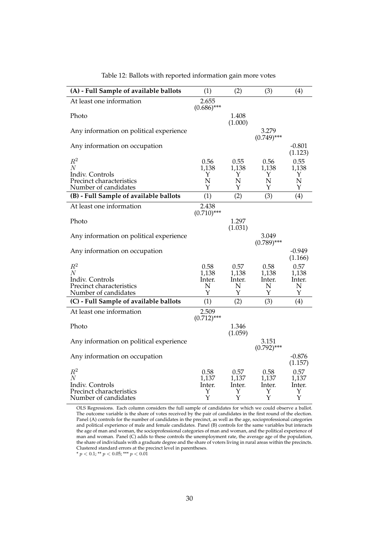<span id="page-30-0"></span>

| (A) - Full Sample of available ballots      | (1)                    | (2)              | (3)                    | (4)                 |
|---------------------------------------------|------------------------|------------------|------------------------|---------------------|
| At least one information                    | 2.655<br>$(0.686)$ *** |                  |                        |                     |
| Photo                                       |                        | 1.408<br>(1.000) |                        |                     |
| Any information on political experience     |                        |                  | 3.279<br>$(0.749)$ *** |                     |
| Any information on occupation               |                        |                  |                        | $-0.801$<br>(1.123) |
| $R^2$                                       | 0.56                   | 0.55             | 0.56                   | 0.55                |
| N<br>Indiv. Controls                        | 1,138<br>Y             | 1,138<br>Y       | 1,138<br>Y             | 1,138<br>Y          |
| Precinct characteristics                    | N                      | N                | N                      | N                   |
| Number of candidates                        | Y                      | Y                | Y                      | Y                   |
| (B) - Full Sample of available ballots      | (1)                    | (2)              | (3)                    | (4)                 |
| At least one information                    | 2.438<br>$(0.710)$ *** |                  |                        |                     |
| Photo                                       |                        | 1.297<br>(1.031) |                        |                     |
| Any information on political experience     |                        |                  | 3.049<br>$(0.789)$ *** |                     |
| Any information on occupation               |                        |                  |                        | -0.949<br>(1.166)   |
| $R^2$                                       | 0.58                   | 0.57             | 0.58                   | 0.57                |
| $\overline{N}$                              | 1,138                  | 1,138            | 1.138                  | 1,138               |
| Indiv. Controls<br>Precinct characteristics | Inter.<br>N            | Inter.<br>N      | Inter.<br>Ν            | Inter.<br>N         |
| Number of candidates                        | Y                      | Y                | Y                      | Y                   |
| (C) - Full Sample of available ballots      | (1)                    | (2)              | (3)                    | (4)                 |
| At least one information                    | 2.509<br>$(0.712)$ *** |                  |                        |                     |
| Photo                                       |                        | 1.346<br>(1.059) |                        |                     |
| Any information on political experience     |                        |                  | 3.151<br>$(0.792)$ *** |                     |
| Any information on occupation               |                        |                  |                        | $-0.876$<br>(1.157) |
| $R^2$                                       | 0.58                   | 0.57             | 0.58                   | 0.57                |
| $\overline{N}$                              | 1,137                  | 1,137            | 1,137                  | 1,137               |
| Indiv. Controls<br>Precinct characteristics | Inter.<br>Y            | Inter.<br>Υ      | Inter.<br>Υ            | lnter.<br>Y         |
| Number of candidates                        | Y                      | Y                | Y                      | Υ                   |

Table 12: Ballots with reported information gain more votes

OLS Regressions. Each column considers the full sample of candidates for which we could observe a ballot. The outcome variable is the share of votes received by the pair of candidates in the first round of the election. Panel (A) controls for the number of candidates in the precinct, as well as the age, socioprofessional categories and political experience of male and female candidates. Panel (B) controls for the same variables but interacts the age of man and woman, the socioprofessional categories of man and woman, and the political experience of man and woman. Panel (C) adds to these controls the unemployment rate, the average age of the population, the share of individuals with a graduate degree and the share of voters living in rural areas within the precincts. Clustered standard errors at the precinct level in parentheses.

\*  $p < 0.1$ ; \*\*  $p < 0.05$ ; \*\*\*  $p < 0.01$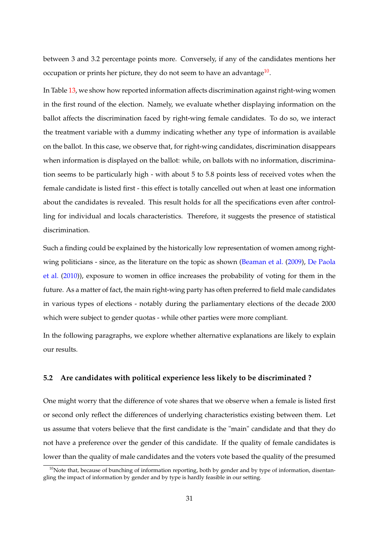between 3 and 3.2 percentage points more. Conversely, if any of the candidates mentions her occupation or prints her picture, they do not seem to have an advantage $^{10}$  $^{10}$  $^{10}$ .

In Table [13,](#page-32-0) we show how reported information affects discrimination against right-wing women in the first round of the election. Namely, we evaluate whether displaying information on the ballot affects the discrimination faced by right-wing female candidates. To do so, we interact the treatment variable with a dummy indicating whether any type of information is available on the ballot. In this case, we observe that, for right-wing candidates, discrimination disappears when information is displayed on the ballot: while, on ballots with no information, discrimination seems to be particularly high - with about 5 to 5.8 points less of received votes when the female candidate is listed first - this effect is totally cancelled out when at least one information about the candidates is revealed. This result holds for all the specifications even after controlling for individual and locals characteristics. Therefore, it suggests the presence of statistical discrimination.

Such a finding could be explained by the historically low representation of women among rightwing politicians - since, as the literature on the topic as shown [\(Beaman et al.](#page-41-8) [\(2009\)](#page-41-8), [De Paola](#page-43-10) [et al.](#page-43-10) [\(2010\)](#page-43-10)), exposure to women in office increases the probability of voting for them in the future. As a matter of fact, the main right-wing party has often preferred to field male candidates in various types of elections - notably during the parliamentary elections of the decade 2000 which were subject to gender quotas - while other parties were more compliant.

In the following paragraphs, we explore whether alternative explanations are likely to explain our results.

## **5.2 Are candidates with political experience less likely to be discriminated ?**

One might worry that the difference of vote shares that we observe when a female is listed first or second only reflect the differences of underlying characteristics existing between them. Let us assume that voters believe that the first candidate is the "main" candidate and that they do not have a preference over the gender of this candidate. If the quality of female candidates is lower than the quality of male candidates and the voters vote based the quality of the presumed

<span id="page-31-0"></span> $10$ Note that, because of bunching of information reporting, both by gender and by type of information, disentangling the impact of information by gender and by type is hardly feasible in our setting.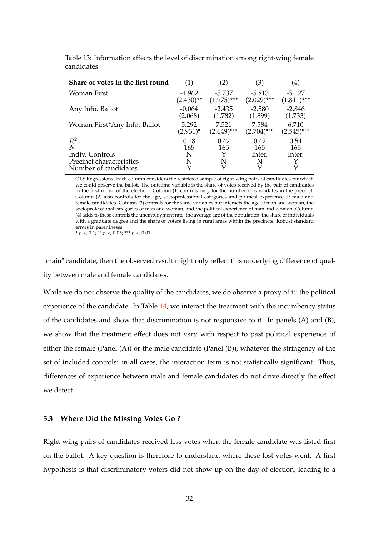| Share of votes in the first round | (1)          | (2)           | (3)           | $\left( 4\right)$ |
|-----------------------------------|--------------|---------------|---------------|-------------------|
| Woman First                       | $-4.962$     | $-5.737$      | $-5.813$      | $-5.127$          |
|                                   | $(2.430)$ ** | $(1.975)$ *** | $(2.029)$ *** | $(1.811)$ ***     |
| Any Info. Ballot                  | $-0.064$     | $-2.435$      | $-2.580$      | $-2.846$          |
|                                   | (2.068)      | (1.782)       | (1.899)       | (1.733)           |
| Woman First*Any Info. Ballot      | 5.292        | 7.521         | 7.584         | 6.710             |
|                                   | $(2.931)^*$  | $(2.649)$ *** | $(2.704)$ *** | $(2.545)$ ***     |
| $R^2$                             | 0.18         | 0.42          | 0.42          | 0.54              |
| N                                 | 165          | 165           | 165           | 165               |
| Indiv. Controls                   | N            | Y             | Inter.        | Inter.            |
| Precinct characteristics          | N            | N             | N             | Y                 |
| Number of candidates              |              |               |               | Y                 |

<span id="page-32-0"></span>Table 13: Information affects the level of discrimination among right-wing female candidates

OLS Regressions. Each column considers the restricted sample of right-wing pairs of candidates for which we could observe the ballot. The outcome variable is the share of votes received by the pair of candidates in the first round of the election. Column (1) controls only for the number of candidates in the precinct. Column (2) also controls for the age, socioprofessional categories and political experience of male and female candidates. Column (3) controls for the same variables but interacts the age of man and woman, the socioprofessional categories of man and woman, and the political experience of man and woman. Column (4) adds to these controls the unemployment rate, the average age of the population, the share of individuals with a graduate degree and the share of voters living in rural areas within the precincts. Robust standard errors in parentheses. \*  $p < 0.1$ ; \*\*  $p < 0.05$ ; \*\*\*  $p < 0.01$ 

"main" candidate, then the observed result might only reflect this underlying difference of quality between male and female candidates.

While we do not observe the quality of the candidates, we do observe a proxy of it: the political experience of the candidate. In Table [14,](#page-33-0) we interact the treatment with the incumbency status of the candidates and show that discrimination is not responsive to it. In panels (A) and (B), we show that the treatment effect does not vary with respect to past political experience of either the female (Panel (A)) or the male candidate (Panel (B)), whatever the stringency of the set of included controls: in all cases, the interaction term is not statistically significant. Thus, differences of experience between male and female candidates do not drive directly the effect we detect.

#### **5.3 Where Did the Missing Votes Go ?**

Right-wing pairs of candidates received less votes when the female candidate was listed first on the ballot. A key question is therefore to understand where these lost votes went. A first hypothesis is that discriminatory voters did not show up on the day of election, leading to a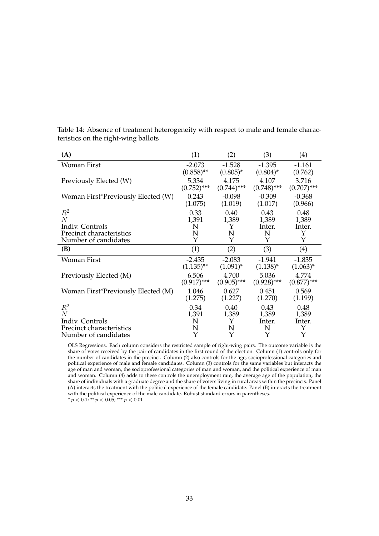| (A)                                              | (1)           | (2)           | (3)           | (4)           |
|--------------------------------------------------|---------------|---------------|---------------|---------------|
| Woman First                                      | $-2.073$      | $-1.528$      | $-1.395$      | $-1.161$      |
|                                                  | $(0.858)$ **  | $(0.805)^*$   | $(0.804)^*$   | (0.762)       |
| Previously Elected (W)                           | 5.334         | 4.175         | 4.107         | 3.716         |
|                                                  | $(0.752)$ *** | $(0.744)$ *** | $(0.748)$ *** | $(0.707)$ *** |
| Woman First*Previously Elected (W)               | 0.243         | $-0.098$      | $-0.309$      | $-0.368$      |
|                                                  | (1.075)       | (1.019)       | (1.017)       | (0.966)       |
| $R^2$                                            | 0.33          | 0.40          | 0.43          | 0.48          |
| $\overline{N}$                                   | 1,391         | 1,389         | 1,389         | 1,389         |
| Indiv. Controls                                  | N             | Y             | Inter.        | Inter.        |
| Precinct characteristics                         | N             | N             | N             | Y             |
| Number of candidates                             | Υ             | Υ             | Y             | Υ             |
|                                                  |               |               |               |               |
| (B)                                              | (1)           | (2)           | (3)           | (4)           |
| Woman First                                      | $-2.435$      | $-2.083$      | $-1.941$      | $-1.835$      |
|                                                  | $(1.135)$ **  | $(1.091)^{*}$ | $(1.138)^{*}$ | $(1.063)^{*}$ |
|                                                  | 6.506         | 4.700         | 5.036         | 4.774         |
| Previously Elected (M)                           | $(0.917)$ *** | $(0.905)$ *** | $(0.928)$ *** | $(0.877)$ *** |
|                                                  | 1.046         | 0.627         | 0.451         | 0.569         |
| Woman First*Previously Elected (M)               | (1.275)       | (1.227)       | (1.270)       | (1.199)       |
| $R^2$                                            | 0.34          | 0.40          | 0.43          | 0.48          |
| N                                                | 1,391         | 1,389         | 1,389         | 1,389         |
| Indiv. Controls                                  | N             | Y             | Inter.        | Inter.        |
| Precinct characteristics<br>Number of candidates | N<br>Y        | N<br>Y        | N<br>Y        | Y<br>Y        |

<span id="page-33-0"></span>Table 14: Absence of treatment heterogeneity with respect to male and female characteristics on the right-wing ballots

OLS Regressions. Each column considers the restricted sample of right-wing pairs. The outcome variable is the share of votes received by the pair of candidates in the first round of the election. Column (1) controls only for the number of candidates in the precinct. Column (2) also controls for the age, socioprofessional categories and political experience of male and female candidates. Column (3) controls for the same variables but interacts the age of man and woman, the socioprofessional categories of man and woman, and the political experience of man and woman. Column (4) adds to these controls the unemployment rate, the average age of the population, the share of individuals with a graduate degree and the share of voters living in rural areas within the precincts. Panel (A) interacts the treatment with the political experience of the female candidate. Panel (B) interacts the treatment with the political experience of the male candidate. Robust standard errors in parentheses.<br>\*  $p < 0.1$ ; \*\*  $p < 0.05$ ; \*\*\*  $p < 0.01$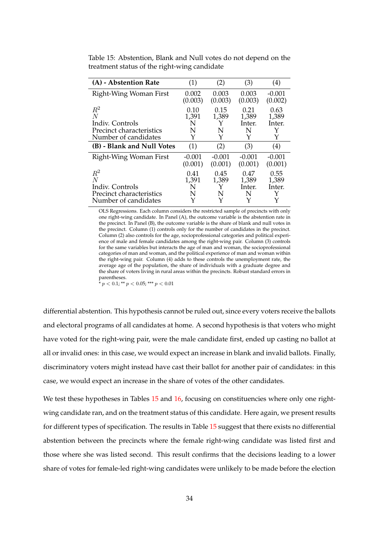| (A) - Abstention Rate                                                             | (1)                          | (2)                | (3)                               | $\left( 4\right)$                 |
|-----------------------------------------------------------------------------------|------------------------------|--------------------|-----------------------------------|-----------------------------------|
| Right-Wing Woman First                                                            | 0.002                        | 0.003              | 0.003                             | $-0.001$                          |
|                                                                                   | (0.003)                      | (0.003)            | (0.003)                           | (0.002)                           |
| $\,R^2$                                                                           | 0.10                         | 0.15               | 0.21                              | 0.63                              |
| N                                                                                 | 1,391                        | 1,389              | 1,389                             | 1,389                             |
| Indiv. Controls                                                                   | N                            | Y                  | Inter.                            | Inter.                            |
| Precinct characteristics                                                          | N                            | N                  | N                                 | Y                                 |
| Number of candidates                                                              | Y                            | Y                  | Y                                 | Y                                 |
| (B) - Blank and Null Votes                                                        | (1)                          | (2)                | (3)                               | (4)                               |
| Right-Wing Woman First                                                            | $-0.001$                     | $-0.001$           | $-0.001$                          | $-0.001$                          |
|                                                                                   | (0.001)                      | (0.001)            | (0.001)                           | (0.001)                           |
| $R^2$<br>N<br>Indiv. Controls<br>Precinct characteristics<br>Number of candidates | 0.41<br>1,391<br>N<br>N<br>Y | 0.45<br>1,389<br>N | 0.47<br>1,389<br>Inter.<br>N<br>Y | 0.55<br>1,389<br>Inter.<br>Y<br>Y |

<span id="page-34-0"></span>Table 15: Abstention, Blank and Null votes do not depend on the treatment status of the right-wing candidate

OLS Regressions. Each column considers the restricted sample of precincts with only one right-wing candidate. In Panel (A), the outcome variable is the abstention rate in the precinct. In Panel (B), the outcome variable is the share of blank and null votes in the precinct. Column (1) controls only for the number of candidates in the precinct. Column (2) also controls for the age, socioprofessional categories and political experience of male and female candidates among the right-wing pair. Column (3) controls for the same variables but interacts the age of man and woman, the socioprofessional categories of man and woman, and the political experience of man and woman within the right-wing pair. Column (4) adds to these controls the unemployment rate, the average age of the population, the share of individuals with a graduate degree and the share of voters living in rural areas within the precincts. Robust standard errors in parentheses.

 $^{\ast}$   $p$   $<$  0.1;  $^{**}$   $p$   $<$  0.05;  $^{***}$   $p$   $<$  0.01

differential abstention. This hypothesis cannot be ruled out, since every voters receive the ballots and electoral programs of all candidates at home. A second hypothesis is that voters who might have voted for the right-wing pair, were the male candidate first, ended up casting no ballot at all or invalid ones: in this case, we would expect an increase in blank and invalid ballots. Finally, discriminatory voters might instead have cast their ballot for another pair of candidates: in this case, we would expect an increase in the share of votes of the other candidates.

We test these hypotheses in Tables [15](#page-34-0) and [16,](#page-36-0) focusing on constituencies where only one rightwing candidate ran, and on the treatment status of this candidate. Here again, we present results for different types of specification. The results in Table [15](#page-34-0) suggest that there exists no differential abstention between the precincts where the female right-wing candidate was listed first and those where she was listed second. This result confirms that the decisions leading to a lower share of votes for female-led right-wing candidates were unlikely to be made before the election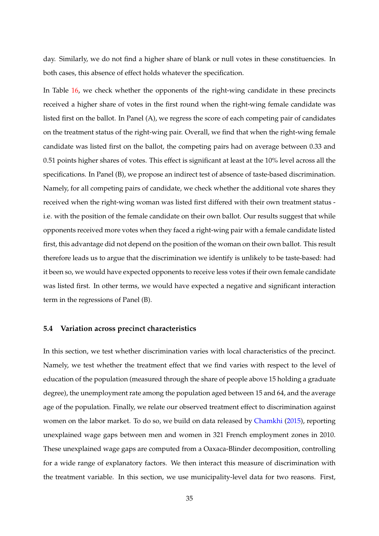day. Similarly, we do not find a higher share of blank or null votes in these constituencies. In both cases, this absence of effect holds whatever the specification.

In Table [16,](#page-36-0) we check whether the opponents of the right-wing candidate in these precincts received a higher share of votes in the first round when the right-wing female candidate was listed first on the ballot. In Panel (A), we regress the score of each competing pair of candidates on the treatment status of the right-wing pair. Overall, we find that when the right-wing female candidate was listed first on the ballot, the competing pairs had on average between 0.33 and 0.51 points higher shares of votes. This effect is significant at least at the 10% level across all the specifications. In Panel (B), we propose an indirect test of absence of taste-based discrimination. Namely, for all competing pairs of candidate, we check whether the additional vote shares they received when the right-wing woman was listed first differed with their own treatment status i.e. with the position of the female candidate on their own ballot. Our results suggest that while opponents received more votes when they faced a right-wing pair with a female candidate listed first, this advantage did not depend on the position of the woman on their own ballot. This result therefore leads us to argue that the discrimination we identify is unlikely to be taste-based: had it been so, we would have expected opponents to receive less votes if their own female candidate was listed first. In other terms, we would have expected a negative and significant interaction term in the regressions of Panel (B).

#### **5.4 Variation across precinct characteristics**

In this section, we test whether discrimination varies with local characteristics of the precinct. Namely, we test whether the treatment effect that we find varies with respect to the level of education of the population (measured through the share of people above 15 holding a graduate degree), the unemployment rate among the population aged between 15 and 64, and the average age of the population. Finally, we relate our observed treatment effect to discrimination against women on the labor market. To do so, we build on data released by [Chamkhi](#page-43-15) [\(2015\)](#page-43-15), reporting unexplained wage gaps between men and women in 321 French employment zones in 2010. These unexplained wage gaps are computed from a Oaxaca-Blinder decomposition, controlling for a wide range of explanatory factors. We then interact this measure of discrimination with the treatment variable. In this section, we use municipality-level data for two reasons. First,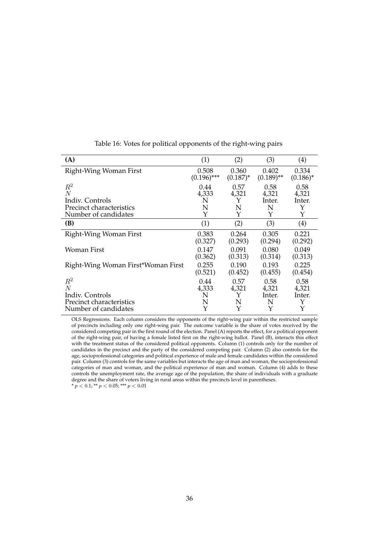<span id="page-36-0"></span>

| (A)                                | (1)           | (2)           | (3)          | $\left( 4\right)$ |
|------------------------------------|---------------|---------------|--------------|-------------------|
| Right-Wing Woman First             | 0.508         | 0.360         | 0.402        | 0.334             |
|                                    | $(0.196)$ *** | $(0.187)^{*}$ | $(0.189)$ ** | $(0.186)^*$       |
| $R^2$                              | 0.44          | 0.57          | 0.58         | 0.58              |
| $\,N$                              | 4,333         | 4,321         | 4,321        | 4,321             |
| Indiv. Controls                    | N             | Y             | Inter.       | Inter.            |
| Precinct characteristics           | N             | N             | N            | Y                 |
| Number of candidates               | Υ             | Y             | Υ            | Y                 |
| (B)                                | (1)           | (2)           | (3)          | (4)               |
| Right-Wing Woman First             | 0.383         | 0.264         | 0.305        | 0.221             |
|                                    | (0.327)       | (0.293)       | (0.294)      | (0.292)           |
| Woman First                        | 0.147         | 0.091         | 0.080        | 0.049             |
|                                    | (0.362)       | (0.313)       | (0.314)      | (0.313)           |
| Right-Wing Woman First*Woman First | 0.255         | 0.190         | 0.193        | 0.225             |
|                                    | (0.521)       | (0.452)       | (0.455)      | (0.454)           |
| $R^2$                              | 0.44          | 0.57          | 0.58         | 0.58              |
| $\overline{N}$                     | 4,333         | 4,321         | 4,321        | 4,321             |
| Indiv. Controls                    | N             | Y             | Inter.       | Inter.            |
| Precinct characteristics           | N             | N             | N            | Y                 |
| Number of candidates               | Υ             | Υ             | Y            | Y                 |

Table 16: Votes for political opponents of the right-wing pairs

OLS Regressions. Each column considers the opponents of the right-wing pair within the restricted sample of precincts including only one right-wing pair. The outcome variable is the share of votes received by the considered competing pair in the first round of the election. Panel (A) reports the effect, for a political opponent of the right-wing pair, of having a female listed first on the right-wing ballot. Panel (B), interacts this effect with the treatment status of the considered political opponents. Column (1) controls only for the number of candidates in the precinct and the party of the considered competing pair. Column (2) also controls for the age, socioprofessional categories and political experience of male and female candidates within the considered pair. Column (3) controls for the same variables but interacts the age of man and woman, the socioprofessional categories of man and woman, and the political experience of man and woman. Column (4) adds to these controls the unemployment rate, the average age of the population, the share of individuals with a graduate degree and the share of voters living in rural areas within the precincts level in parentheses. \*  $p < 0.1$ ; \*\*  $p < 0.05$ ; \*\*\*  $p < 0.01$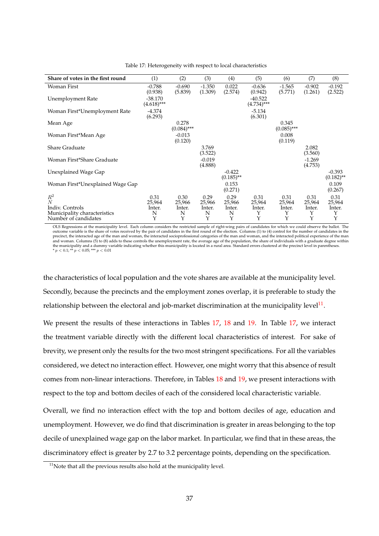<span id="page-37-1"></span>

| Share of votes in the first round               | (1)                        | (2)                    | (3)                 | (4)                      | (5)                        | (6)                    | (7)                 | (8)                      |
|-------------------------------------------------|----------------------------|------------------------|---------------------|--------------------------|----------------------------|------------------------|---------------------|--------------------------|
| Woman First                                     | $-0.788$<br>(0.938)        | $-0.690$<br>(5.839)    | $-1.350$<br>(1.309) | 0.022<br>(2.574)         | $-0.636$<br>(0.942)        | $-1.565$<br>(5.771)    | $-0.902$<br>(1.261) | $-0.192$<br>(2.522)      |
| Unemployment Rate                               | $-38.170$<br>$(4.618)$ *** |                        |                     |                          | $-40.522$<br>$(4.734)$ *** |                        |                     |                          |
| Woman First*Unemployment Rate                   | $-4.374$<br>(6.293)        |                        |                     |                          | $-5.134$<br>(6.301)        |                        |                     |                          |
| Mean Age                                        |                            | 0.278<br>$(0.084)$ *** |                     |                          |                            | 0.345<br>$(0.085)$ *** |                     |                          |
| Woman First*Mean Age                            |                            | $-0.013$<br>(0.120)    |                     |                          |                            | 0.008<br>(0.119)       |                     |                          |
| <b>Share Graduate</b>                           |                            |                        | 3.769<br>(3.522)    |                          |                            |                        | 2.082<br>(3.560)    |                          |
| Woman First*Share Graduate                      |                            |                        | $-0.019$<br>(4.888) |                          |                            |                        | $-1.269$<br>(4.753) |                          |
| Unexplained Wage Gap                            |                            |                        |                     | $-0.422$<br>$(0.185)$ ** |                            |                        |                     | $-0.393$<br>$(0.182)$ ** |
| Woman First*Unexplained Wage Gap                |                            |                        |                     | 0.153<br>(0.271)         |                            |                        |                     | 0.109<br>(0.267)         |
| $R^2$<br>$\overline{N}$                         | 0.31<br>25,964             | 0.30<br>25,966         | 0.29<br>25,966      | 0.29<br>25,966           | 0.31<br>25,964             | 0.31<br>25,964         | 0.31<br>25,964      | 0.31<br>25,964           |
| Indiv. Controls<br>Municipality characteristics | Inter.<br>N                | lnter.<br>N            | Inter.<br>N         | lnter.<br>N              | Inter.<br>Υ                | Inter.<br>Υ            | Inter.<br>Υ         | lnter.<br>Υ              |
| Number of candidates                            | Υ                          | Υ                      | Y                   | Y                        | Y                          | Y                      | Y                   | Y                        |

Table 17: Heterogeneity with respect to local characteristics

OLS Regressions at the municipality level. Each column considers the restricted sample of right-wing pairs of candidates for which we could observe the ballot. The outcome variable is the share of votes received by the pair of candidates in the first round of the election. Columns (1) to (4) control for the number of candidates in the precinct, the interacted age of the man and woman, the interacted socioprofessional categories of the man and woman, and the interacted political experience of the man<br>and woman. Columns (5) to (8) adds to these controls t the municipality and a dummy variable indicating whether this municipality is located in a rural area. Standard errors clustered at the precinct level in parentheses.<br>\*  $p < 0.1$ ; \*\*  $p < 0.05$ ; \*\*\*  $p < 0.01$ 

the characteristics of local population and the vote shares are available at the municipality level. Secondly, because the precincts and the employment zones overlap, it is preferable to study the relationship between the electoral and job-market discrimination at the municipality level $^{11}$  $^{11}$  $^{11}$ .

We present the results of these interactions in Tables [17,](#page-37-1) [18](#page-38-0) and [19.](#page-38-1) In Table 17, we interact the treatment variable directly with the different local characteristics of interest. For sake of brevity, we present only the results for the two most stringent specifications. For all the variables considered, we detect no interaction effect. However, one might worry that this absence of result comes from non-linear interactions. Therefore, in Tables [18](#page-38-0) and [19,](#page-38-1) we present interactions with respect to the top and bottom deciles of each of the considered local characteristic variable.

Overall, we find no interaction effect with the top and bottom deciles of age, education and unemployment. However, we do find that discrimination is greater in areas belonging to the top decile of unexplained wage gap on the labor market. In particular, we find that in these areas, the discriminatory effect is greater by 2.7 to 3.2 percentage points, depending on the specification.

<span id="page-37-0"></span> $11$ Note that all the previous results also hold at the municipality level.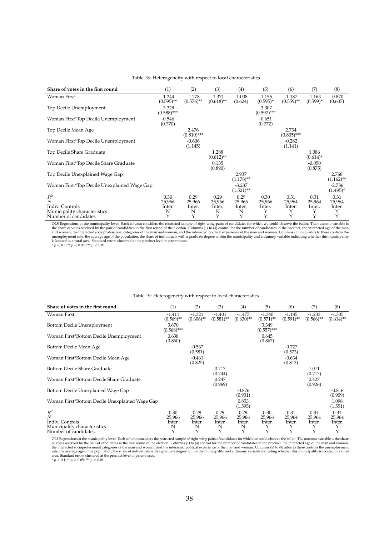<span id="page-38-0"></span>

| Share of votes in the first round           | (1)                       | (2)                      | (3)                      | (4)                      | (5)                       | (6)                      | (7)                     | (8)                     |
|---------------------------------------------|---------------------------|--------------------------|--------------------------|--------------------------|---------------------------|--------------------------|-------------------------|-------------------------|
| Woman First                                 | $-1.244$<br>$(0.595)$ **  | $-1.278$<br>$(0.576)$ ** | $-1.371$<br>$(0.618)$ ** | $-1.008$<br>(0.624)      | $-1.155$<br>$(0.595)^*$   | $-1.187$<br>$(0.559)$ ** | $-1.163$<br>$(0.599)^*$ | $-0.870$<br>(0.607)     |
| Top Decile Unemployment                     | $-3.329$<br>$(0.588)$ *** |                          |                          |                          | $-3.307$<br>$(0.597)$ *** |                          |                         |                         |
| Woman First*Top Decile Unemployment         | $-0.546$<br>(0.770)       |                          |                          |                          | $-0.651$<br>(0.772)       |                          |                         |                         |
| Top Decile Mean Age                         |                           | 2.476<br>$(0.810)$ ***   |                          |                          |                           | 2.734<br>$(0.805)$ ***   |                         |                         |
| Woman First*Top Decile Unemployment         |                           | $-0.606$<br>(1.145)      |                          |                          |                           | $-0.282$<br>(1.141)      |                         |                         |
| Top Decile Share Graduate                   |                           |                          | 1.288<br>$(0.612)$ **    |                          |                           |                          | 1.086<br>$(0.614)^{*}$  |                         |
| Woman First*Top Decile Share Graduate       |                           |                          | 0.135<br>(0.890)         |                          |                           |                          | $-0.050$<br>(0.875)     |                         |
| Top Decile Unexplained Wage Gap             |                           |                          |                          | 2.937<br>$(1.178)$ **    |                           |                          |                         | 2.768<br>$(1.162)$ **   |
| Woman First*Top Decile Unexplained Wage Gap |                           |                          |                          | $-3.237$<br>$(1.521)$ ** |                           |                          |                         | $-2.736$<br>$(1.495)^*$ |
| $R^2$<br>$\overline{N}$                     | 0.30<br>25,966            | 0.29<br>25,966           | 0.29<br>25,966           | 0.29<br>25,966           | 0.30<br>25,966            | 0.31<br>25,964           | 0.31<br>25,964          | 0.31<br>25,964          |
| Indiv. Controls                             | Inter.                    | Inter.                   | Inter.                   | Inter.                   | Inter.                    | Inter.                   | Inter.                  | Inter.                  |
| Municipality characteristics                | N                         | N                        | N                        | N                        | Υ                         | Υ                        | Y                       | Y                       |
| Number of candidates                        | Υ                         | Y                        | Υ                        | Y                        | Y                         | Y                        | Y                       | Y                       |

#### Table 18: Heterogeneity with respect to local characteristics

OLS Regressions at the municipality level. Each column considers the restricted sample of right-wing pairs of candidates for which we could observe the ballot. The outcome variable is<br>the share of votes received by the pa

#### Table 19: Heterogeneity with respect to local characteristics

<span id="page-38-1"></span>

| Share of votes in the first round              | (1)                      | (2)                      | (3)                      | (4)                      | (5)                      | (6)                      | (7)                                 | (8)                      |
|------------------------------------------------|--------------------------|--------------------------|--------------------------|--------------------------|--------------------------|--------------------------|-------------------------------------|--------------------------|
| <b>Woman First</b>                             | $-1.411$<br>$(0.569)$ ** | $-1.321$<br>$(0.606)$ ** | $-1.401$<br>$(0.581)$ ** | $-1.477$<br>$(0.630)$ ** | $-1.340$<br>$(0.571)$ ** | $-1.185$<br>$(0.591)$ ** | $-1.233$<br>$(0.566)$ <sup>**</sup> | $-1.305$<br>$(0.614)$ ** |
| Bottom Decile Unemployment                     | 3.670<br>$(0.568)$ ***   |                          |                          |                          | 3.349<br>$(0.557)$ ***   |                          |                                     |                          |
| Woman First*Bottom Decile Unemployment         | 0.638<br>(0.860)         |                          |                          |                          | 0.645<br>(0.867)         |                          |                                     |                          |
| Bottom Decile Mean Age                         |                          | $-0.567$<br>(0.581)      |                          |                          |                          | $-0.727$<br>(0.573)      |                                     |                          |
| Woman First*Bottom Decile Mean Age             |                          | $-0.461$<br>(0.825)      |                          |                          |                          | $-0.634$<br>(0.813)      |                                     |                          |
| Bottom Decile Share Graduate                   |                          |                          | 0.717<br>(0.744)         |                          |                          |                          | 1.011<br>(0.717)                    |                          |
| Woman First*Bottom Decile Share Graduate       |                          |                          | 0.247<br>(0.969)         |                          |                          |                          | 0.427<br>(0.926)                    |                          |
| Bottom Decile Unexplained Wage Gap             |                          |                          |                          | $-0.876$<br>(0.931)      |                          |                          |                                     | $-0.816$<br>(0.909)      |
| Woman First*Bottom Decile Unexplained Wage Gap |                          |                          |                          | 0.853<br>(1.595)         |                          |                          |                                     | 1.098<br>(1.551)         |
| $R^2$                                          | 0.30                     | 0.29                     | 0.29                     | 0.29                     | 0.30                     | 0.31                     | 0.31                                | 0.31                     |
| N                                              | 25,966                   | 25,966                   | 25,966                   | 25,966                   | 25,966                   | 25,964                   | 25,964                              | 25,964                   |
| Indiv. Controls                                | Inter.                   | Inter.                   | Inter.                   | Inter.                   | Inter.                   | Inter.                   | Inter.                              | Inter.                   |
| Municipality characteristics                   | N                        | N                        | N                        | N                        | Y                        | Υ                        | Y                                   |                          |
| Number of candidates                           | Υ                        | Υ                        | Υ                        | Υ                        | Υ                        | Y                        | Υ                                   | Υ                        |

OLS Regressions at the municipality level. Each column considers the restricted sample of right-wing pairs of candidates for which we could observe the ballot. The outcome variable is the share<br>of votes received by the pa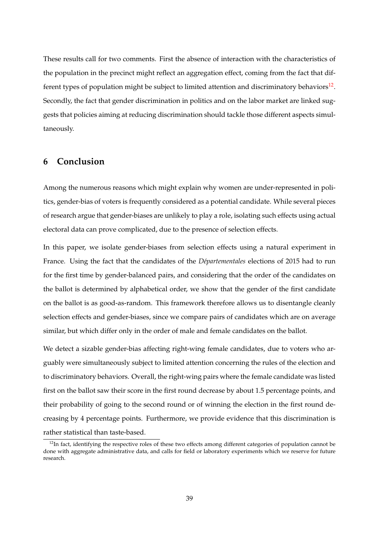These results call for two comments. First the absence of interaction with the characteristics of the population in the precinct might reflect an aggregation effect, coming from the fact that different types of population might be subject to limited attention and discriminatory behaviors $^{12}$  $^{12}$  $^{12}$ . Secondly, the fact that gender discrimination in politics and on the labor market are linked suggests that policies aiming at reducing discrimination should tackle those different aspects simultaneously.

## **6 Conclusion**

Among the numerous reasons which might explain why women are under-represented in politics, gender-bias of voters is frequently considered as a potential candidate. While several pieces of research argue that gender-biases are unlikely to play a role, isolating such effects using actual electoral data can prove complicated, due to the presence of selection effects.

In this paper, we isolate gender-biases from selection effects using a natural experiment in France. Using the fact that the candidates of the *Départementales* elections of 2015 had to run for the first time by gender-balanced pairs, and considering that the order of the candidates on the ballot is determined by alphabetical order, we show that the gender of the first candidate on the ballot is as good-as-random. This framework therefore allows us to disentangle cleanly selection effects and gender-biases, since we compare pairs of candidates which are on average similar, but which differ only in the order of male and female candidates on the ballot.

We detect a sizable gender-bias affecting right-wing female candidates, due to voters who arguably were simultaneously subject to limited attention concerning the rules of the election and to discriminatory behaviors. Overall, the right-wing pairs where the female candidate was listed first on the ballot saw their score in the first round decrease by about 1.5 percentage points, and their probability of going to the second round or of winning the election in the first round decreasing by 4 percentage points. Furthermore, we provide evidence that this discrimination is rather statistical than taste-based.

<span id="page-39-0"></span> $12$ In fact, identifying the respective roles of these two effects among different categories of population cannot be done with aggregate administrative data, and calls for field or laboratory experiments which we reserve for future research.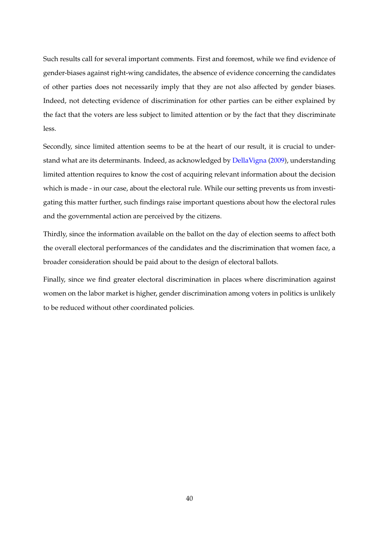Such results call for several important comments. First and foremost, while we find evidence of gender-biases against right-wing candidates, the absence of evidence concerning the candidates of other parties does not necessarily imply that they are not also affected by gender biases. Indeed, not detecting evidence of discrimination for other parties can be either explained by the fact that the voters are less subject to limited attention or by the fact that they discriminate less.

Secondly, since limited attention seems to be at the heart of our result, it is crucial to understand what are its determinants. Indeed, as acknowledged by [DellaVigna](#page-43-0) [\(2009\)](#page-43-0), understanding limited attention requires to know the cost of acquiring relevant information about the decision which is made - in our case, about the electoral rule. While our setting prevents us from investigating this matter further, such findings raise important questions about how the electoral rules and the governmental action are perceived by the citizens.

Thirdly, since the information available on the ballot on the day of election seems to affect both the overall electoral performances of the candidates and the discrimination that women face, a broader consideration should be paid about to the design of electoral ballots.

Finally, since we find greater electoral discrimination in places where discrimination against women on the labor market is higher, gender discrimination among voters in politics is unlikely to be reduced without other coordinated policies.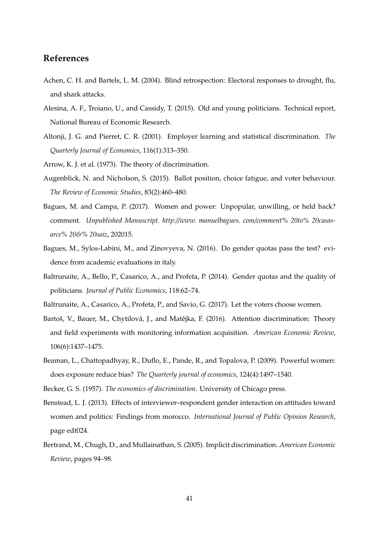## **References**

- <span id="page-41-9"></span>Achen, C. H. and Bartels, L. M. (2004). Blind retrospection: Electoral responses to drought, flu, and shark attacks.
- <span id="page-41-13"></span>Alesina, A. F., Troiano, U., and Cassidy, T. (2015). Old and young politicians. Technical report, National Bureau of Economic Research.
- <span id="page-41-0"></span>Altonji, J. G. and Pierret, C. R. (2001). Employer learning and statistical discrimination. *The Quarterly Journal of Economics*, 116(1):313–350.
- <span id="page-41-11"></span><span id="page-41-5"></span>Arrow, K. J. et al. (1973). The theory of discrimination.
- Augenblick, N. and Nicholson, S. (2015). Ballot position, choice fatigue, and voter behaviour. *The Review of Economic Studies*, 83(2):460–480.
- <span id="page-41-2"></span>Bagues, M. and Campa, P. (2017). Women and power: Unpopular, unwilling, or held back? comment. *Unpublished Manuscript. http://www. manuelbagues. com/comment% 20to% 20casasarce% 20&% 20saiz*, 202015.
- <span id="page-41-10"></span>Bagues, M., Sylos-Labini, M., and Zinovyeva, N. (2016). Do gender quotas pass the test? evidence from academic evaluations in italy.
- <span id="page-41-1"></span>Baltrunaite, A., Bello, P., Casarico, A., and Profeta, P. (2014). Gender quotas and the quality of politicians. *Journal of Public Economics*, 118:62–74.
- <span id="page-41-12"></span><span id="page-41-3"></span>Baltrunaite, A., Casarico, A., Profeta, P., and Savio, G. (2017). Let the voters choose women.
- Bartoš, V., Bauer, M., Chytilová, J., and Matějka, F. (2016). Attention discrimination: Theory and field experiments with monitoring information acquisition. *American Economic Review*, 106(6):1437–1475.
- <span id="page-41-8"></span>Beaman, L., Chattopadhyay, R., Duflo, E., Pande, R., and Topalova, P. (2009). Powerful women: does exposure reduce bias? *The Quarterly journal of economics*, 124(4):1497–1540.
- <span id="page-41-6"></span><span id="page-41-4"></span>Becker, G. S. (1957). *The economics of discrimination*. University of Chicago press.
- Benstead, L. J. (2013). Effects of interviewer–respondent gender interaction on attitudes toward women and politics: Findings from morocco. *International Journal of Public Opinion Research*, page edt024.
- <span id="page-41-7"></span>Bertrand, M., Chugh, D., and Mullainathan, S. (2005). Implicit discrimination. *American Economic Review*, pages 94–98.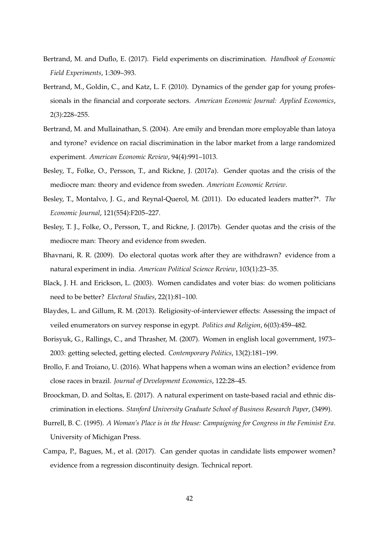- <span id="page-42-9"></span>Bertrand, M. and Duflo, E. (2017). Field experiments on discrimination. *Handbook of Economic Field Experiments*, 1:309–393.
- <span id="page-42-0"></span>Bertrand, M., Goldin, C., and Katz, L. F. (2010). Dynamics of the gender gap for young professionals in the financial and corporate sectors. *American Economic Journal: Applied Economics*, 2(3):228–255.
- <span id="page-42-8"></span>Bertrand, M. and Mullainathan, S. (2004). Are emily and brendan more employable than latoya and tyrone? evidence on racial discrimination in the labor market from a large randomized experiment. *American Economic Review*, 94(4):991–1013.
- <span id="page-42-13"></span>Besley, T., Folke, O., Persson, T., and Rickne, J. (2017a). Gender quotas and the crisis of the mediocre man: theory and evidence from sweden. *American Economic Review*.
- <span id="page-42-12"></span>Besley, T., Montalvo, J. G., and Reynal-Querol, M. (2011). Do educated leaders matter?\*. *The Economic Journal*, 121(554):F205–227.
- <span id="page-42-1"></span>Besley, T. J., Folke, O., Persson, T., and Rickne, J. (2017b). Gender quotas and the crisis of the mediocre man: Theory and evidence from sweden.
- <span id="page-42-10"></span>Bhavnani, R. R. (2009). Do electoral quotas work after they are withdrawn? evidence from a natural experiment in india. *American Political Science Review*, 103(1):23–35.
- <span id="page-42-4"></span>Black, J. H. and Erickson, L. (2003). Women candidates and voter bias: do women politicians need to be better? *Electoral Studies*, 22(1):81–100.
- <span id="page-42-7"></span>Blaydes, L. and Gillum, R. M. (2013). Religiosity-of-interviewer effects: Assessing the impact of veiled enumerators on survey response in egypt. *Politics and Religion*, 6(03):459–482.
- <span id="page-42-5"></span>Borisyuk, G., Rallings, C., and Thrasher, M. (2007). Women in english local government, 1973– 2003: getting selected, getting elected. *Contemporary Politics*, 13(2):181–199.
- <span id="page-42-3"></span>Brollo, F. and Troiano, U. (2016). What happens when a woman wins an election? evidence from close races in brazil. *Journal of Development Economics*, 122:28–45.
- <span id="page-42-11"></span>Broockman, D. and Soltas, E. (2017). A natural experiment on taste-based racial and ethnic discrimination in elections. *Stanford University Graduate School of Business Research Paper*, (3499).
- <span id="page-42-6"></span>Burrell, B. C. (1995). *A Woman's Place is in the House: Campaigning for Congress in the Feminist Era*. University of Michigan Press.
- <span id="page-42-2"></span>Campa, P., Bagues, M., et al. (2017). Can gender quotas in candidate lists empower women? evidence from a regression discontinuity design. Technical report.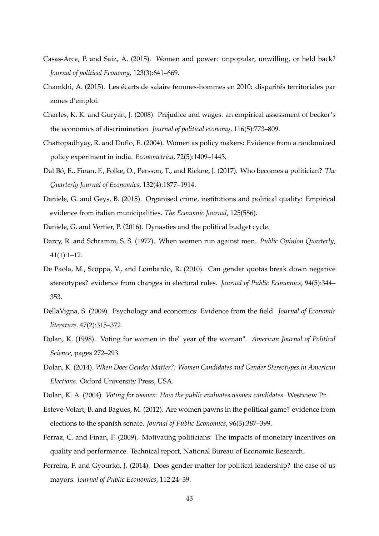- <span id="page-43-2"></span>Casas-Arce, P. and Saiz, A. (2015). Women and power: unpopular, unwilling, or held back? *Journal of political Economy*, 123(3):641–669.
- <span id="page-43-15"></span>Chamkhi, A. (2015). Les écarts de salaire femmes-hommes en 2010: disparités territoriales par zones d'emploi.
- <span id="page-43-9"></span>Charles, K. K. and Guryan, J. (2008). Prejudice and wages: an empirical assessment of becker's the economics of discrimination. *Journal of political economy*, 116(5):773–809.
- <span id="page-43-3"></span>Chattopadhyay, R. and Duflo, E. (2004). Women as policy makers: Evidence from a randomized policy experiment in india. *Econometrica*, 72(5):1409–1443.
- <span id="page-43-14"></span>Dal Bó, E., Finan, F., Folke, O., Persson, T., and Rickne, J. (2017). Who becomes a politician? *The Quarterly Journal of Economics*, 132(4):1877–1914.
- <span id="page-43-12"></span>Daniele, G. and Geys, B. (2015). Organised crime, institutions and political quality: Empirical evidence from italian municipalities. *The Economic Journal*, 125(586).
- <span id="page-43-13"></span><span id="page-43-5"></span>Daniele, G. and Vertier, P. (2016). Dynasties and the political budget cycle.
- Darcy, R. and Schramm, S. S. (1977). When women run against men. *Public Opinion Quarterly*, 41(1):1–12.
- <span id="page-43-10"></span>De Paola, M., Scoppa, V., and Lombardo, R. (2010). Can gender quotas break down negative stereotypes? evidence from changes in electoral rules. *Journal of Public Economics*, 94(5):344– 353.
- <span id="page-43-0"></span>DellaVigna, S. (2009). Psychology and economics: Evidence from the field. *Journal of Economic literature*, 47(2):315–372.
- <span id="page-43-8"></span>Dolan, K. (1998). Voting for women in the" year of the woman". *American Journal of Political Science*, pages 272–293.
- <span id="page-43-7"></span>Dolan, K. (2014). *When Does Gender Matter?: Women Candidates and Gender Stereotypes in American Elections*. Oxford University Press, USA.
- <span id="page-43-6"></span><span id="page-43-1"></span>Dolan, K. A. (2004). *Voting for women: How the public evaluates women candidates*. Westview Pr.
- Esteve-Volart, B. and Bagues, M. (2012). Are women pawns in the political game? evidence from elections to the spanish senate. *Journal of Public Economics*, 96(3):387–399.
- <span id="page-43-11"></span>Ferraz, C. and Finan, F. (2009). Motivating politicians: The impacts of monetary incentives on quality and performance. Technical report, National Bureau of Economic Research.
- <span id="page-43-4"></span>Ferreira, F. and Gyourko, J. (2014). Does gender matter for political leadership? the case of us mayors. *Journal of Public Economics*, 112:24–39.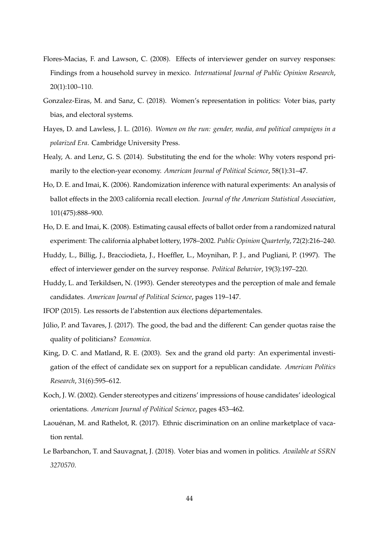- <span id="page-44-9"></span>Flores-Macias, F. and Lawson, C. (2008). Effects of interviewer gender on survey responses: Findings from a household survey in mexico. *International Journal of Public Opinion Research*, 20(1):100–110.
- <span id="page-44-4"></span>Gonzalez-Eiras, M. and Sanz, C. (2018). Women's representation in politics: Voter bias, party bias, and electoral systems.
- <span id="page-44-2"></span>Hayes, D. and Lawless, J. L. (2016). *Women on the run: gender, media, and political campaigns in a polarized Era*. Cambridge University Press.
- <span id="page-44-11"></span>Healy, A. and Lenz, G. S. (2014). Substituting the end for the whole: Why voters respond primarily to the election-year economy. *American Journal of Political Science*, 58(1):31–47.
- <span id="page-44-12"></span>Ho, D. E. and Imai, K. (2006). Randomization inference with natural experiments: An analysis of ballot effects in the 2003 california recall election. *Journal of the American Statistical Association*, 101(475):888–900.
- <span id="page-44-13"></span>Ho, D. E. and Imai, K. (2008). Estimating causal effects of ballot order from a randomized natural experiment: The california alphabet lottery, 1978–2002. *Public Opinion Quarterly*, 72(2):216–240.
- <span id="page-44-8"></span>Huddy, L., Billig, J., Bracciodieta, J., Hoeffler, L., Moynihan, P. J., and Pugliani, P. (1997). The effect of interviewer gender on the survey response. *Political Behavior*, 19(3):197–220.
- <span id="page-44-6"></span>Huddy, L. and Terkildsen, N. (1993). Gender stereotypes and the perception of male and female candidates. *American Journal of Political Science*, pages 119–147.
- <span id="page-44-3"></span><span id="page-44-0"></span>IFOP (2015). Les ressorts de l'abstention aux élections départementales.
- Júlio, P. and Tavares, J. (2017). The good, the bad and the different: Can gender quotas raise the quality of politicians? *Economica*.
- <span id="page-44-7"></span>King, D. C. and Matland, R. E. (2003). Sex and the grand old party: An experimental investigation of the effect of candidate sex on support for a republican candidate. *American Politics Research*, 31(6):595–612.
- <span id="page-44-5"></span>Koch, J. W. (2002). Gender stereotypes and citizens' impressions of house candidates' ideological orientations. *American Journal of Political Science*, pages 453–462.
- <span id="page-44-10"></span>Laouénan, M. and Rathelot, R. (2017). Ethnic discrimination on an online marketplace of vacation rental.
- <span id="page-44-1"></span>Le Barbanchon, T. and Sauvagnat, J. (2018). Voter bias and women in politics. *Available at SSRN 3270570*.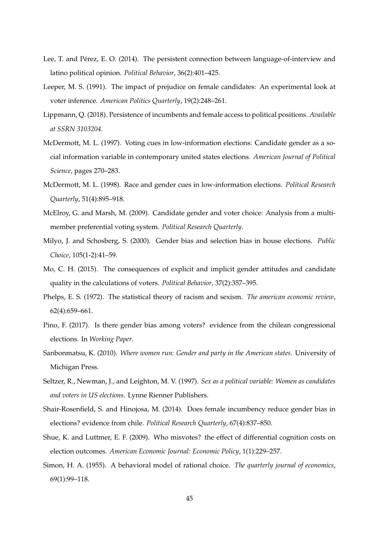- <span id="page-45-12"></span>Lee, T. and Pérez, E. O. (2014). The persistent connection between language-of-interview and latino political opinion. *Political Behavior*, 36(2):401–425.
- <span id="page-45-9"></span>Leeper, M. S. (1991). The impact of prejudice on female candidates: An experimental look at voter inference. *American Politics Quarterly*, 19(2):248–261.
- <span id="page-45-1"></span>Lippmann, Q. (2018). Persistence of incumbents and female access to political positions. *Available at SSRN 3103204*.
- <span id="page-45-8"></span>McDermott, M. L. (1997). Voting cues in low-information elections: Candidate gender as a social information variable in contemporary united states elections. *American Journal of Political Science*, pages 270–283.
- <span id="page-45-7"></span>McDermott, M. L. (1998). Race and gender cues in low-information elections. *Political Research Quarterly*, 51(4):895–918.
- <span id="page-45-3"></span>McElroy, G. and Marsh, M. (2009). Candidate gender and voter choice: Analysis from a multimember preferential voting system. *Political Research Quarterly*.
- <span id="page-45-5"></span>Milyo, J. and Schosberg, S. (2000). Gender bias and selection bias in house elections. *Public Choice*, 105(1-2):41–59.
- <span id="page-45-10"></span>Mo, C. H. (2015). The consequences of explicit and implicit gender attitudes and candidate quality in the calculations of voters. *Political Behavior*, 37(2):357–395.
- <span id="page-45-6"></span>Phelps, E. S. (1972). The statistical theory of racism and sexism. *The american economic review*, 62(4):659–661.
- <span id="page-45-11"></span>Pino, F. (2017). Is there gender bias among voters? evidence from the chilean congressional elections. In *Working Paper*.
- <span id="page-45-0"></span>Sanbonmatsu, K. (2010). *Where women run: Gender and party in the American states*. University of Michigan Press.
- <span id="page-45-2"></span>Seltzer, R., Newman, J., and Leighton, M. V. (1997). *Sex as a political variable: Women as candidates and voters in US elections*. Lynne Rienner Publishers.
- <span id="page-45-4"></span>Shair-Rosenfield, S. and Hinojosa, M. (2014). Does female incumbency reduce gender bias in elections? evidence from chile. *Political Research Quarterly*, 67(4):837–850.
- <span id="page-45-14"></span>Shue, K. and Luttmer, E. F. (2009). Who misvotes? the effect of differential cognition costs on election outcomes. *American Economic Journal: Economic Policy*, 1(1):229–257.
- <span id="page-45-13"></span>Simon, H. A. (1955). A behavioral model of rational choice. *The quarterly journal of economics*, 69(1):99–118.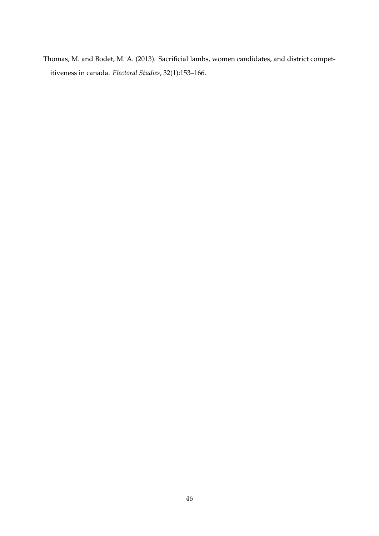<span id="page-46-0"></span>Thomas, M. and Bodet, M. A. (2013). Sacrificial lambs, women candidates, and district competitiveness in canada. *Electoral Studies*, 32(1):153–166.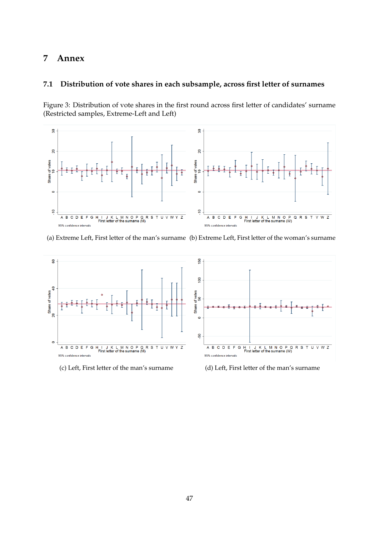## **7 Annex**

## **7.1 Distribution of vote shares in each subsample, across first letter of surnames**

Figure 3: Distribution of vote shares in the first round across first letter of candidates' surname (Restricted samples, Extreme-Left and Left)



(a) Extreme Left, First letter of the man's surname (b) Extreme Left, First letter of the woman's surname



(c) Left, First letter of the man's surname (d) Left, First letter of the man's surname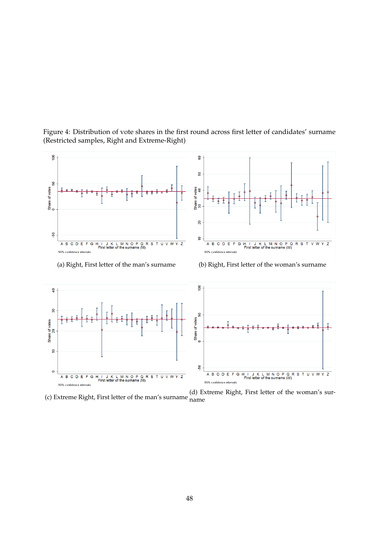

Figure 4: Distribution of vote shares in the first round across first letter of candidates' surname (Restricted samples, Right and Extreme-Right)

(c) Extreme Right, First letter of the man's surname (d) Extreme Right, First letter of the woman's surname